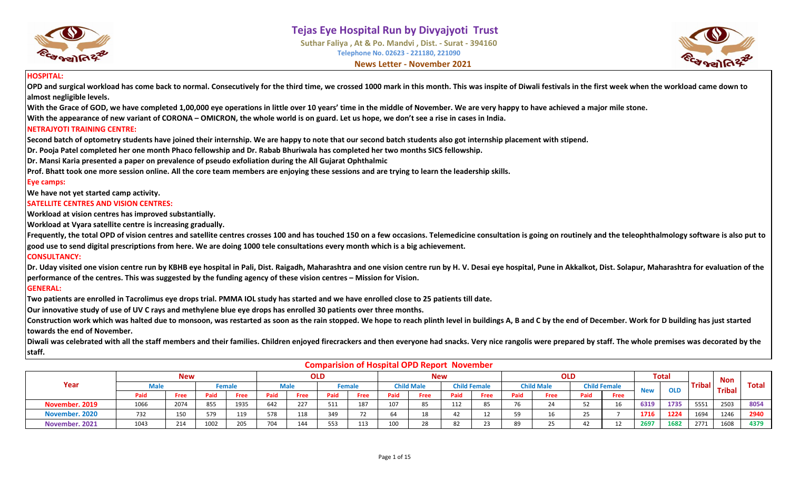



#### **HOSPITAL:**

**OPD and surgical workload has come back to normal. Consecutively for the third time, we crossed 1000 mark in this month. This was inspite of Diwali festivals in the first week when the workload came down to almost negligible levels.**

**With the Grace of GOD, we have completed 1,00,000 eye operations in little over 10 years' time in the middle of November. We are very happy to have achieved a major mile stone.**

**With the appearance of new variant of CORONA – OMICRON, the whole world is on guard. Let us hope, we don't see a rise in cases in India.**

#### **NETRAJYOTI TRAINING CENTRE:**

**Second batch of optometry students have joined their internship. We are happy to note that our second batch students also got internship placement with stipend.**

**Dr. Pooja Patel completed her one month Phaco fellowship and Dr. Rabab Bhuriwala has completed her two months SICS fellowship.**

**Dr. Mansi Karia presented a paper on prevalence of pseudo exfoliation during the All Gujarat Ophthalmic** 

**Prof. Bhatt took one more session online. All the core team members are enjoying these sessions and are trying to learn the leadership skills.**

#### **Eye camps:**

**We have not yet started camp activity.**

#### **SATELLITE CENTRES AND VISION CENTRES:**

**Workload at vision centres has improved substantially.** 

**Workload at Vyara satellite centre is increasing gradually.**

**Frequently, the total OPD of vision centres and satellite centres crosses 100 and has touched 150 on a few occasions. Telemedicine consultation is going on routinely and the teleophthalmology software is also put to good use to send digital prescriptions from here. We are doing 1000 tele consultations every month which is a big achievement.**

#### **CONSULTANCY:**

Dr. Uday visited one vision centre run by KBHB eye hospital in Pali, Dist. Raigadh, Maharashtra and one vision centre run by H. V. Desai eye hospital, Pune in Akkalkot, Dist. Solapur, Maharashtra for evaluation of the **performance of the centres. This was suggested by the funding agency of these vision centres – Mission for Vision.**

#### **GENERAL:**

**Two patients are enrolled in Tacrolimus eye drops trial. PMMA IOL study has started and we have enrolled close to 25 patients till date.**

**Our innovative study of use of UV C rays and methylene blue eye drops has enrolled 30 patients over three months.**

Construction work which was halted due to monsoon, was restarted as soon as the rain stopped. We hope to reach plinth level in buildings A, B and C by the end of December. Work for D building has just started **towards the end of November.**

Diwali was celebrated with all the staff members and their families. Children enjoyed firecrackers and then everyone had snacks. Very nice rangolis were prepared by staff. The whole premises was decorated by the **staff.**

|                |      |            |      |        |      |             |            |        |      |                   | Companision of Hospital Of B Report Hovember |                     |      |                   |            |                     |            |              |               |               |              |
|----------------|------|------------|------|--------|------|-------------|------------|--------|------|-------------------|----------------------------------------------|---------------------|------|-------------------|------------|---------------------|------------|--------------|---------------|---------------|--------------|
|                |      | <b>New</b> |      |        |      |             | <b>OLD</b> |        |      |                   | <b>New</b>                                   |                     |      |                   | <b>OLD</b> |                     |            | <b>Total</b> |               | <b>Non</b>    |              |
| Year           | Male |            |      | Female |      | <b>Male</b> |            | Female |      | <b>Child Male</b> |                                              | <b>Child Female</b> |      | <b>Child Male</b> |            | <b>Child Female</b> | <b>New</b> | <b>OLD</b>   | <b>Tribal</b> | <b>Tribal</b> | <b>Total</b> |
|                | Paid | Free       | Paid | Free   | Paid | Free        | Paid       | Free   | Paid | Free              | Paid                                         | Free                | Paid | Free              | Paid       | <b>Free</b>         |            |              |               |               |              |
| November. 2019 | 1066 | 2074       | 855  | 1935   | 642  | 227         | 511        | 187    | 107  | 85                | 112                                          | 85                  | 76   | 24                | 52         |                     | 6319       | 1735         | 5551          | 2503          | 8054         |
| November. 2020 | 732  | 150        | 579  | 119    | 578  | 118         | 349        |        | 64   | 18                | 42                                           | 12<br>ᅭ             | 59   | 16                | 25         |                     | 1716       | 1224         | 1694          | 1246          | 2940         |
| November, 2021 | 1043 | 214        | 1002 | 205    | 704  | 144         | 553        | 113    | 100  | 28                | 82                                           | 23                  | 89   | 25                | 42         |                     | 2697       | 1682         | 2771          | 1608          | 4379         |

#### **Comparision of Hospital OPD Report November**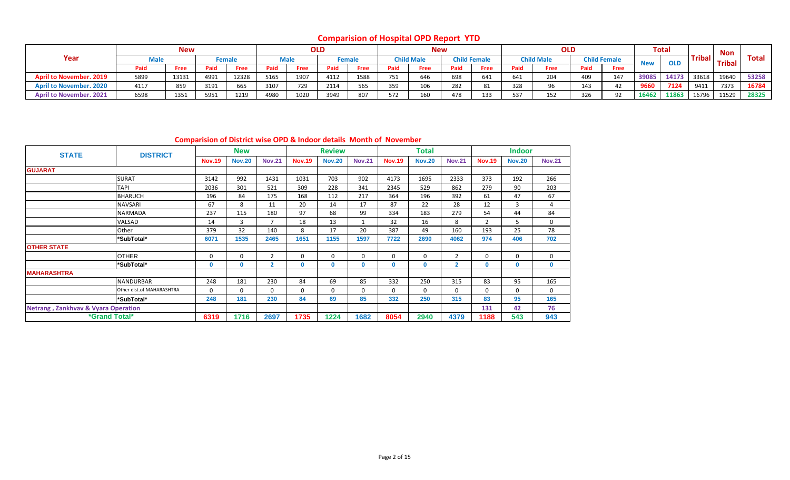**Comparision of Hospital OPD Report YTD**

|                                |      | <b>New</b> |      |             |      |             | <b>OLD</b> |                    |            | <b>New</b>        |      |                     |      | <b>OLD</b>        |      |                     |            | <b>Total</b> |               | <b>Non</b>    |              |
|--------------------------------|------|------------|------|-------------|------|-------------|------------|--------------------|------------|-------------------|------|---------------------|------|-------------------|------|---------------------|------------|--------------|---------------|---------------|--------------|
| Year                           |      |            |      | Female      |      | <b>Male</b> |            | <sup>:</sup> emale |            | <b>Child Male</b> |      | <b>Child Female</b> |      | <b>Child Male</b> |      | <b>Child Female</b> | <b>New</b> | <b>OLD</b>   | <b>Tribal</b> | <b>Tribal</b> | <b>Total</b> |
|                                | Paid | Free       | Paid | <b>Free</b> | Paid | Free        | Paid       | <b>Free</b>        | Paid       | Free              | Paid | Free                | Paid | Free              | Paid | Free                |            |              |               |               |              |
| <b>April to November, 2019</b> | 5899 | 13131      | 4991 | 12328       | 5165 | 1907        | 4112       | 1588               | <b>7E1</b> | 646               | 698  | 641                 | 641  | 204               | 409  | 147                 | 39085      | 14173        | 33618         | 19640         | 53258        |
| <b>April to November, 2020</b> | 4117 | 859        | 3191 | 665         | 3107 | 729         | 2114       | 565                | 359        | 106               | 282  | 81                  | 328  | 96                | 143  | 42                  | 9660       | 7124         | 9411          | 7373          | 16784        |
| <b>April to November. 2021</b> | 6598 | 1351       | 5951 | 1219        | 4980 | 1020        | 3949       | 807                | 572        | 160               | 478  | 133                 | 537  | 152               | 326  | റാ                  | 16462      | 11863        | 16796         | 11529         | 28325        |

**Comparision of District wise OPD & Indoor details Month of November**

| <b>STATE</b>                                   | <b>DISTRICT</b>             |               | <b>New</b>    |                |               | <b>Review</b> |               |               | <b>Total</b>  |                          |               | <b>Indoor</b> |               |
|------------------------------------------------|-----------------------------|---------------|---------------|----------------|---------------|---------------|---------------|---------------|---------------|--------------------------|---------------|---------------|---------------|
|                                                |                             | <b>Nov.19</b> | <b>Nov.20</b> | <b>Nov.21</b>  | <b>Nov.19</b> | <b>Nov.20</b> | <b>Nov.21</b> | <b>Nov.19</b> | <b>Nov.20</b> | <b>Nov.21</b>            | <b>Nov.19</b> | <b>Nov.20</b> | <b>Nov.21</b> |
| <b>GUJARAT</b>                                 |                             |               |               |                |               |               |               |               |               |                          |               |               |               |
|                                                | <b>SURAT</b>                | 3142          | 992           | 1431           | 1031          | 703           | 902           | 4173          | 1695          | 2333                     | 373           | 192           | 266           |
|                                                | <b>TAPI</b>                 | 2036          | 301           | 521            | 309           | 228           | 341           | 2345          | 529           | 862                      | 279           | 90            | 203           |
|                                                | <b>BHARUCH</b>              | 196           | 84            | 175            | 168           | 112           | 217           | 364           | 196           | 392                      | 61            | 47            | 67            |
|                                                | NAVSARI                     | 67            | 8             | 11             | 20            | 14            | 17            | 87            | 22            | 28                       | 12            | 3             | 4             |
|                                                | NARMADA                     | 237           | 115           | 180            | 97            | 68            | 99            | 334           | 183           | 279                      | 54            | 44            | 84            |
|                                                | VALSAD                      | 14            | 3             | 7              | 18            | 13            | $\mathbf{1}$  | 32            | 16            | 8                        | 2             | 5             | $\mathbf 0$   |
|                                                | Other                       | 379           | 32            | 140            | 8             | 17            | 20            | 387           | 49            | 160                      | 193           | 25            | 78            |
|                                                | *SubTotal*                  | 6071          | 1535          | 2465           | 1651          | 1155          | 1597          | 7722          | 2690          | 4062                     | 974           | 406           | 702           |
| <b>OTHER STATE</b>                             |                             |               |               |                |               |               |               |               |               |                          |               |               |               |
|                                                | <b>OTHER</b>                | $\Omega$      | 0             | $\overline{2}$ | $\mathbf 0$   | $\mathbf 0$   | $\mathbf 0$   | 0             | $\Omega$      | $\overline{\phantom{a}}$ | $\Omega$      | $\mathbf 0$   | $\mathbf 0$   |
|                                                | *SubTotal*                  | $\Omega$      | 0             | $\mathbf{2}$   | 0             | 0             | $\mathbf 0$   | 0             | 0             | $\overline{2}$           | $\mathbf{0}$  | 0             | $\mathbf 0$   |
| <b>MAHARASHTRA</b>                             |                             |               |               |                |               |               |               |               |               |                          |               |               |               |
|                                                | <b>NANDURBAR</b>            | 248           | 181           | 230            | 84            | 69            | 85            | 332           | 250           | 315                      | 83            | 95            | 165           |
|                                                | Other dist.of MAHARASHTRA   | $\Omega$      | 0             | $\mathbf 0$    | $\mathbf 0$   | $\mathbf 0$   | $\mathbf 0$   | 0             | 0             | $\Omega$                 | $\Omega$      | $\mathbf 0$   | $\mathbf 0$   |
|                                                | *SubTotal*                  | 248           | 181           | 230            | 84            | 69            | 85            | 332           | 250           | 315                      | 83            | 95            | 165           |
| <b>Netrang, Zankhvav &amp; Vyara Operation</b> |                             |               |               |                |               |               |               |               |               |                          | 131           | 42            | 76            |
|                                                | <i><b>*Grand Total*</b></i> | 6319          | 1716          | 2697           | 1735          | 1224          | 1682          | 8054          | 2940          | 4379                     | 1188          | 543           | 943           |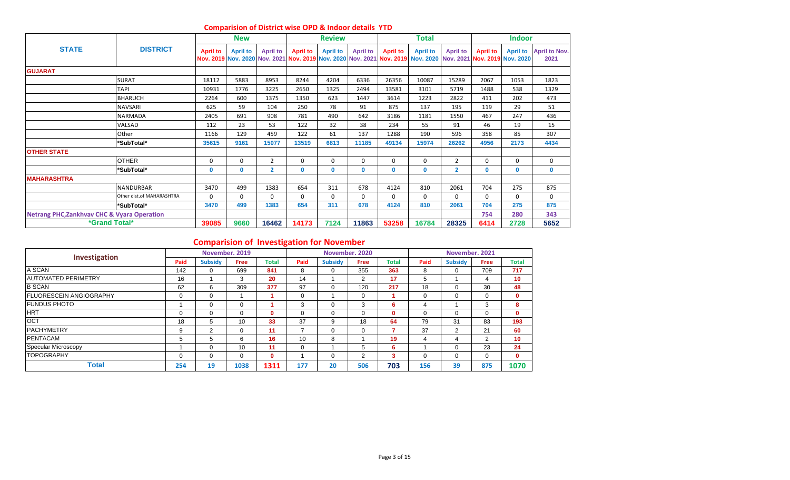|                                                        |                           |                 | <b>New</b>      |                 |                 | <b>Review</b>   |                 |                 | Total                                                                                                                            |                 |                 | <b>Indoor</b>   |                              |
|--------------------------------------------------------|---------------------------|-----------------|-----------------|-----------------|-----------------|-----------------|-----------------|-----------------|----------------------------------------------------------------------------------------------------------------------------------|-----------------|-----------------|-----------------|------------------------------|
| <b>STATE</b>                                           | <b>DISTRICT</b>           | <b>April to</b> | <b>April to</b> | <b>April to</b> | <b>April to</b> | <b>April to</b> | <b>April to</b> | <b>April to</b> | <b>April to</b><br>Nov. 2019 Nov. 2020 Nov. 2021 Nov. 2019 Nov. 2020 Nov. 2021 Nov. 2019 Nov. 2020 Nov. 2021 Nov. 2019 Nov. 2010 | <b>April to</b> | <b>April to</b> | <b>April to</b> | <b>April to Nov.</b><br>2021 |
| <b>GUJARAT</b>                                         |                           |                 |                 |                 |                 |                 |                 |                 |                                                                                                                                  |                 |                 |                 |                              |
|                                                        | <b>SURAT</b>              | 18112           | 5883            | 8953            | 8244            | 4204            | 6336            | 26356           | 10087                                                                                                                            | 15289           | 2067            | 1053            | 1823                         |
|                                                        | <b>TAPI</b>               | 10931           | 1776            | 3225            | 2650            | 1325            | 2494            | 13581           | 3101                                                                                                                             | 5719            | 1488            | 538             | 1329                         |
|                                                        | <b>BHARUCH</b>            | 2264            | 600             | 1375            | 1350            | 623             | 1447            | 3614            | 1223                                                                                                                             | 2822            | 411             | 202             | 473                          |
|                                                        | <b>NAVSARI</b>            | 625             | 59              | 104             | 250             | 78              | 91              | 875             | 137                                                                                                                              | 195             | 119             | 29              | 51                           |
|                                                        | <b>NARMADA</b>            | 2405            | 691             | 908             | 781             | 490             | 642             | 3186            | 1181                                                                                                                             | 1550            | 467             | 247             | 436                          |
|                                                        | VALSAD                    | 112             | 23              | 53              | 122             | 32              | 38              | 234             | 55                                                                                                                               | 91              | 46              | 19              | 15                           |
|                                                        | Other                     | 1166            | 129             | 459             | 122             | 61              | 137             | 1288            | 190                                                                                                                              | 596             | 358             | 85              | 307                          |
|                                                        | *SubTotal*                | 35615           | 9161            | 15077           | 13519           | 6813            | 11185           | 49134           | 15974                                                                                                                            | 26262           | 4956            | 2173            | 4434                         |
| <b>OTHER STATE</b>                                     |                           |                 |                 |                 |                 |                 |                 |                 |                                                                                                                                  |                 |                 |                 |                              |
|                                                        | <b>OTHER</b>              | 0               | $\Omega$        | $\overline{2}$  | 0               | 0               | 0               | 0               | 0                                                                                                                                | $\overline{2}$  | $\Omega$        | 0               | $\mathbf 0$                  |
|                                                        | *SubTotal*                | $\mathbf{0}$    | $\mathbf{0}$    | $\mathbf{2}$    | $\mathbf{0}$    | $\mathbf{0}$    | 0               | $\mathbf 0$     | $\mathbf{0}$                                                                                                                     | $\overline{2}$  | $\mathbf{0}$    | $\mathbf{0}$    | $\mathbf{0}$                 |
| <b>MAHARASHTRA</b>                                     |                           |                 |                 |                 |                 |                 |                 |                 |                                                                                                                                  |                 |                 |                 |                              |
|                                                        | <b>NANDURBAR</b>          | 3470            | 499             | 1383            | 654             | 311             | 678             | 4124            | 810                                                                                                                              | 2061            | 704             | 275             | 875                          |
|                                                        | Other dist.of MAHARASHTRA | $\Omega$        | $\Omega$        | $\Omega$        | $\Omega$        | $\Omega$        | 0               | $\Omega$        | $\Omega$                                                                                                                         | $\Omega$        | $\Omega$        | $\Omega$        | 0                            |
|                                                        | *SubTotal*                | 3470            | 499             | 1383            | 654             | 311             | 678             | 4124            | 810                                                                                                                              | 2061            | 704             | 275             | 875                          |
| <b>Netrang PHC, Zankhvav CHC &amp; Vyara Operation</b> |                           |                 |                 |                 |                 |                 |                 |                 |                                                                                                                                  |                 | 754             | 280             | 343                          |
| *Grand Total*                                          |                           | 39085           | 9660            | 16462           | 14173           | 7124            | 11863           | 53258           | 16784                                                                                                                            | 28325           | 6414            | 2728            | 5652                         |

#### **Comparision of District wise OPD & Indoor details YTD**

# **Comparision of Investigation for November**

| Investigation                   |             | November, 2019 |      |              |          |                | November, 2020 |              |          | November, 2021 |                |              |
|---------------------------------|-------------|----------------|------|--------------|----------|----------------|----------------|--------------|----------|----------------|----------------|--------------|
|                                 | Paid        | <b>Subsidy</b> | Free | <b>Total</b> | Paid     | <b>Subsidy</b> | <b>Free</b>    | <b>Total</b> | Paid     | <b>Subsidy</b> | <b>Free</b>    | <b>Total</b> |
| A SCAN                          | 142         | 0              | 699  | 841          | 8        | 0              | 355            | 363          | 8        | $\Omega$       | 709            | 717          |
| <b>JAUTOMATED PERIMETRY</b>     | 16          |                | 3    | 20           | 14       |                | 2              | 17           | 5        |                | 4              | 10           |
| <b>B SCAN</b>                   | 62          | 6              | 309  | 377          | 97       | 0              | 120            | 217          | 18       | $\Omega$       | 30             | 48           |
| <b>IFLUORESCEIN ANGIOGRAPHY</b> | $\mathbf 0$ | $\mathbf 0$    |      |              | $\Omega$ |                | $\mathbf 0$    |              |          | 0              | 0              | $\mathbf{0}$ |
| <b>IFUNDUS PHOTO</b>            |             | $\Omega$       | 0    |              |          | $\Omega$       | 3              | 6            | 4        |                | 3              | 8            |
| <b>HRT</b>                      | 0           | $\Omega$       | 0    | $\bf{0}$     |          | $\Omega$       | $\Omega$       | $\mathbf{0}$ | $\Omega$ | $\Omega$       | 0              | $\mathbf{0}$ |
| <b>OCT</b>                      | 18          | 5              | 10   | 33           | 37       | 9              | 18             | 64           | 79       | 31             | 83             | 193          |
| <b>IPACHYMETRY</b>              | 9           | 2              | 0    | 11           |          | $\Omega$       | $\Omega$       |              | 37       | 2              | 21             | 60           |
| <b>PENTACAM</b>                 | 5           | 5              | 6    | 16           | 10       | 8              |                | 19           | 4        | 4              | $\overline{2}$ | 10           |
| Specular Microscopy             |             | $\Omega$       | 10   | 11           |          |                | b.             | 6            |          | $\Omega$       | 23             | 24           |
| <b>TOPOGRAPHY</b>               | 0           | $\Omega$       | 0    | $\mathbf 0$  |          | 0              | 2              | 3            | $\Omega$ | $\overline{0}$ | 0              | $\mathbf{0}$ |
| <b>Total</b>                    | 254         | 19             | 1038 | 1311         | 177      | 20             | 506            | 703          | 156      | 39             | 875            | 1070         |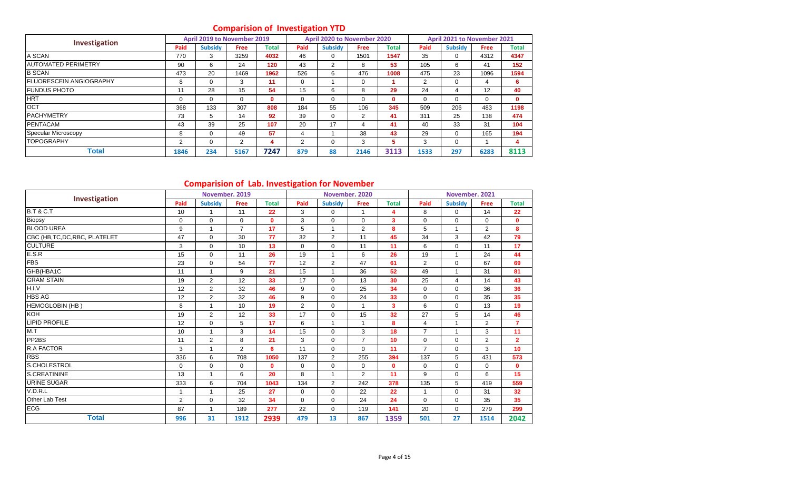# **Comparision of Investigation YTD**

|                                 |      | April 2019 to November 2019 |                |              | -    | April 2020 to November 2020 |                |              |      | April 2021 to November 2021 |      |              |
|---------------------------------|------|-----------------------------|----------------|--------------|------|-----------------------------|----------------|--------------|------|-----------------------------|------|--------------|
| Investigation                   | Paid | <b>Subsidy</b>              | <b>Free</b>    | <b>Total</b> | Paid | <b>Subsidy</b>              | <b>Free</b>    | Total        | Paid | <b>Subsidy</b>              | Free | <b>Total</b> |
| A SCAN                          | 770  | 3                           | 3259           | 4032         | 46   | $\mathbf 0$                 | 1501           | 1547         | 35   | 0                           | 4312 | 4347         |
| <b>JAUTOMATED PERIMETRY</b>     | 90   | 6                           | 24             | 120          | 43   | 2                           | 8              | 53           | 105  | 6                           | 41   | 152          |
| <b>B SCAN</b>                   | 473  | 20                          | 1469           | 1962         | 526  | 6                           | 476            | 1008         | 475  | 23                          | 1096 | 1594         |
| <b>IFLUORESCEIN ANGIOGRAPHY</b> | 8    | $\Omega$                    | 3              | 11           | 0    |                             | 0              |              | 2    | 0                           | 4    | 6            |
| <b>IFUNDUS PHOTO</b>            | 11   | 28                          | 15             | 54           | 15   | 6                           | 8              | 29           | 24   | 4                           | 12   | 40           |
| <b>HRT</b>                      | 0    | $\Omega$                    | $\Omega$       | $\bf{0}$     | 0    | $\Omega$                    | 0              | $\mathbf{0}$ | 0    | $\Omega$                    | 0    | $\mathbf{0}$ |
| <b>OCT</b>                      | 368  | 133                         | 307            | 808          | 184  | 55                          | 106            | 345          | 509  | 206                         | 483  | 1198         |
| <b>PACHYMETRY</b>               | 73   | 5                           | 14             | 92           | 39   | $\Omega$                    | $\overline{2}$ | 41           | 311  | 25                          | 138  | 474          |
| <b>PENTACAM</b>                 | 43   | 39                          | 25             | 107          | 20   | 17                          | 4              | 41           | 40   | 33                          | 31   | 104          |
| Specular Microscopy             | 8    | $\Omega$                    | 49             | 57           | 4    |                             | 38             | 43           | 29   | $\Omega$                    | 165  | 194          |
| <b>TOPOGRAPHY</b>               | 2    | $\Omega$                    | $\overline{2}$ | 4            | 2    | 0                           | 3              | 5            | 3    | 0                           |      | 4            |
| <b>Total</b>                    | 1846 | 234                         | 5167           | 7247         | 879  | 88                          | 2146           | 3113         | 1533 | 297                         | 6283 | 8113         |

# **Comparision of Lab. Investigation for November**

| Investigation                  |             | November. 2019 |                |              |                | November. 2020 |                |              |                | November. 2021 |                |                |
|--------------------------------|-------------|----------------|----------------|--------------|----------------|----------------|----------------|--------------|----------------|----------------|----------------|----------------|
|                                | Paid        | <b>Subsidy</b> | <b>Free</b>    | <b>Total</b> | Paid           | <b>Subsidy</b> | Free           | <b>Total</b> | Paid           | <b>Subsidy</b> | Free           | <b>Total</b>   |
| <b>B.T &amp; C.T</b>           | 10          |                | 11             | 22           | 3              | 0              |                | 4            | 8              | 0              | 14             | 22             |
| <b>Biopsy</b>                  | $\mathbf 0$ | $\mathbf 0$    | $\mathbf 0$    | $\mathbf{0}$ | 3              | $\mathbf 0$    | $\mathbf 0$    | 3            | $\Omega$       | $\Omega$       | $\Omega$       | $\mathbf{0}$   |
| <b>BLOOD UREA</b>              | 9           | $\mathbf{1}$   | $\overline{7}$ | 17           | 5              | $\mathbf{1}$   | $\overline{2}$ | 8            | 5              | $\overline{1}$ | $\overline{2}$ | 8              |
| CBC (HB, TC, DC, RBC, PLATELET | 47          | $\mathbf 0$    | 30             | 77           | 32             | $\overline{2}$ | 11             | 45           | 34             | 3              | 42             | 79             |
| <b>CULTURE</b>                 | 3           | $\mathbf 0$    | 10             | 13           | $\Omega$       | $\Omega$       | 11             | 11           | 6              | $\Omega$       | 11             | 17             |
| E.S.R                          | 15          | $\mathbf 0$    | 11             | 26           | 19             | 1              | 6              | 26           | 19             |                | 24             | 44             |
| <b>FBS</b>                     | 23          | $\mathbf 0$    | 54             | 77           | 12             | $\overline{2}$ | 47             | 61           | $\overline{2}$ | $\Omega$       | 67             | 69             |
| GHB(HBA1C                      | 11          | $\mathbf{1}$   | 9              | 21           | 15             | $\mathbf{1}$   | 36             | 52           | 49             | $\overline{1}$ | 31             | 81             |
| <b>GRAM STAIN</b>              | 19          | $\overline{2}$ | 12             | 33           | 17             | $\Omega$       | 13             | 30           | 25             | $\overline{4}$ | 14             | 43             |
| H.I.V                          | 12          | $\overline{2}$ | 32             | 46           | 9              | $\mathbf 0$    | 25             | 34           | 0              | $\mathbf 0$    | 36             | 36             |
| <b>HBS AG</b>                  | 12          | $\overline{2}$ | 32             | 46           | 9              | $\Omega$       | 24             | 33           | $\Omega$       | $\Omega$       | 35             | 35             |
| <b>HEMOGLOBIN (HB)</b>         | 8           | $\mathbf{1}$   | 10             | 19           | $\overline{2}$ | $\mathbf 0$    |                | 3            | 6              | $\Omega$       | 13             | 19             |
| <b>KOH</b>                     | 19          | $\overline{2}$ | 12             | 33           | 17             | $\Omega$       | 15             | 32           | 27             | 5              | 14             | 46             |
| <b>LIPID PROFILE</b>           | 12          | $\mathbf 0$    | 5              | 17           | 6              | $\mathbf{1}$   |                | 8            | $\overline{4}$ | $\overline{1}$ | $\overline{2}$ | $\overline{7}$ |
| M.T                            | 10          | $\mathbf{1}$   | 3              | 14           | 15             | $\Omega$       | 3              | 18           | $\overline{7}$ | $\overline{ }$ | 3              | 11             |
| PP <sub>2</sub> BS             | 11          | $\overline{2}$ | 8              | 21           | 3              | $\mathbf 0$    | $\overline{7}$ | 10           | $\mathbf 0$    | $\mathbf 0$    | $\overline{2}$ | $\overline{2}$ |
| <b>R.A FACTOR</b>              | 3           | $\mathbf{1}$   | $\overline{2}$ | 6            | 11             | $\Omega$       | $\Omega$       | 11           | $\overline{7}$ | $\Omega$       | 3              | 10             |
| <b>RBS</b>                     | 336         | 6              | 708            | 1050         | 137            | $\overline{2}$ | 255            | 394          | 137            | 5              | 431            | 573            |
| S.CHOLESTROL                   | $\Omega$    | $\mathbf 0$    | $\mathbf 0$    | $\mathbf{0}$ | $\mathbf 0$    | $\Omega$       | $\mathbf 0$    | $\mathbf{0}$ | $\Omega$       | $\Omega$       | $\Omega$       | $\mathbf{0}$   |
| S.CREATININE                   | 13          | $\mathbf{1}$   | 6              | 20           | 8              | $\mathbf{1}$   | $\overline{2}$ | 11           | 9              | $\mathbf 0$    | 6              | 15             |
| <b>URINE SUGAR</b>             | 333         | 6              | 704            | 1043         | 134            | $\overline{2}$ | 242            | 378          | 135            | 5              | 419            | 559            |
| V.D.R.L                        |             | 1              | 25             | 27           | $\mathbf 0$    | $\Omega$       | 22             | 22           |                | $\Omega$       | 31             | 32             |
| Other Lab Test                 | 2           | 0              | 32             | 34           | $\Omega$       | $\Omega$       | 24             | 24           | $\Omega$       | $\Omega$       | 35             | 35             |
| <b>ECG</b>                     | 87          | $\mathbf{1}$   | 189            | 277          | 22             | 0              | 119            | 141          | 20             | 0              | 279            | 299            |
| <b>Total</b>                   | 996         | 31             | 1912           | 2939         | 479            | 13             | 867            | 1359         | 501            | 27             | 1514           | 2042           |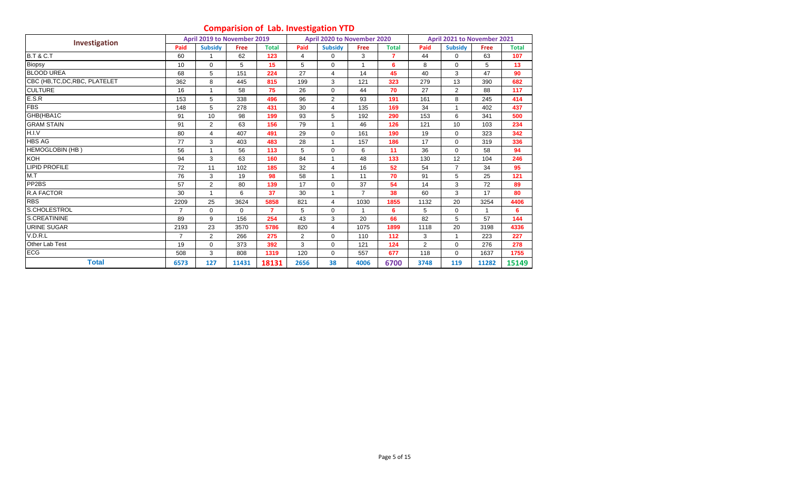# **Comparision of Lab. Investigation YTD**

|                                |                | April 2019 to November 2019 |          |                |                | April 2020 to November 2020 |                |                |                | April 2021 to November 2021 |             |              |
|--------------------------------|----------------|-----------------------------|----------|----------------|----------------|-----------------------------|----------------|----------------|----------------|-----------------------------|-------------|--------------|
| Investigation                  | Paid           | <b>Subsidy</b>              | Free     | <b>Total</b>   | Paid           | <b>Subsidy</b>              | Free           | <b>Total</b>   | Paid           | <b>Subsidy</b>              | <b>Free</b> | <b>Total</b> |
| <b>B.T &amp; C.T</b>           | 60             |                             | 62       | 123            | 4              | $\Omega$                    | 3              | $\overline{7}$ | 44             | $\Omega$                    | 63          | 107          |
| Biopsy                         | 10             | $\mathbf 0$                 | 5        | 15             | 5              | $\mathbf 0$                 |                | 6              | 8              | $\mathbf 0$                 | 5           | 13           |
| <b>BLOOD UREA</b>              | 68             | 5                           | 151      | 224            | 27             | $\overline{4}$              | 14             | 45             | 40             | 3                           | 47          | 90           |
| CBC (HB, TC, DC, RBC, PLATELET | 362            | 8                           | 445      | 815            | 199            | 3                           | 121            | 323            | 279            | 13                          | 390         | 682          |
| <b>CULTURE</b>                 | 16             |                             | 58       | 75             | 26             | 0                           | 44             | 70             | 27             | $\overline{2}$              | 88          | 117          |
| E.S.R                          | 153            | 5                           | 338      | 496            | 96             | $\overline{2}$              | 93             | 191            | 161            | 8                           | 245         | 414          |
| <b>FBS</b>                     | 148            | 5                           | 278      | 431            | 30             | 4                           | 135            | 169            | 34             | $\overline{1}$              | 402         | 437          |
| GHB(HBA1C                      | 91             | 10                          | 98       | 199            | 93             | 5                           | 192            | 290            | 153            | 6                           | 341         | 500          |
| <b>GRAM STAIN</b>              | 91             | $\overline{2}$              | 63       | 156            | 79             |                             | 46             | 126            | 121            | 10                          | 103         | 234          |
| H.I.V                          | 80             | $\overline{4}$              | 407      | 491            | 29             | $\Omega$                    | 161            | 190            | 19             | $\Omega$                    | 323         | 342          |
| <b>HBS AG</b>                  | 77             | 3                           | 403      | 483            | 28             | 1                           | 157            | 186            | 17             | $\Omega$                    | 319         | 336          |
| <b>HEMOGLOBIN (HB)</b>         | 56             |                             | 56       | 113            | 5              | $\mathbf 0$                 | 6              | 11             | 36             | $\mathbf 0$                 | 58          | 94           |
| KOH                            | 94             | 3                           | 63       | 160            | 84             | 1                           | 48             | 133            | 130            | 12                          | 104         | 246          |
| <b>LIPID PROFILE</b>           | 72             | 11                          | 102      | 185            | 32             | 4                           | 16             | 52             | 54             | $\overline{7}$              | 34          | 95           |
| M.T                            | 76             | 3                           | 19       | 98             | 58             | 1                           | 11             | 70             | 91             | 5                           | 25          | 121          |
| PP2BS                          | 57             | $\overline{2}$              | 80       | 139            | 17             | $\Omega$                    | 37             | 54             | 14             | 3                           | 72          | 89           |
| R.A FACTOR                     | 30             | $\overline{1}$              | 6        | 37             | 30             | 1                           | $\overline{7}$ | 38             | 60             | 3                           | 17          | 80           |
| <b>RBS</b>                     | 2209           | 25                          | 3624     | 5858           | 821            | $\overline{4}$              | 1030           | 1855           | 1132           | 20                          | 3254        | 4406         |
| S.CHOLESTROL                   | 7              | $\Omega$                    | $\Omega$ | $\overline{7}$ | 5              | $\Omega$                    |                | 6              | 5              | $\Omega$                    |             | 6            |
| S.CREATININE                   | 89             | 9                           | 156      | 254            | 43             | 3                           | 20             | 66             | 82             | 5                           | 57          | 144          |
| <b>URINE SUGAR</b>             | 2193           | 23                          | 3570     | 5786           | 820            | $\overline{4}$              | 1075           | 1899           | 1118           | 20                          | 3198        | 4336         |
| V.D.R.L                        | $\overline{7}$ | $\overline{2}$              | 266      | 275            | $\overline{2}$ | $\mathbf 0$                 | 110            | 112            | 3              | $\overline{\phantom{a}}$    | 223         | 227          |
| Other Lab Test                 | 19             | $\mathbf 0$                 | 373      | 392            | 3              | $\mathbf 0$                 | 121            | 124            | $\overline{2}$ | $\mathbf 0$                 | 276         | 278          |
| <b>ECG</b>                     | 508            | 3                           | 808      | 1319           | 120            | $\Omega$                    | 557            | 677            | 118            | $\Omega$                    | 1637        | 1755         |
| <b>Total</b>                   | 6573           | 127                         | 11431    | 18131          | 2656           | 38                          | 4006           | 6700           | 3748           | 119                         | 11282       | 15149        |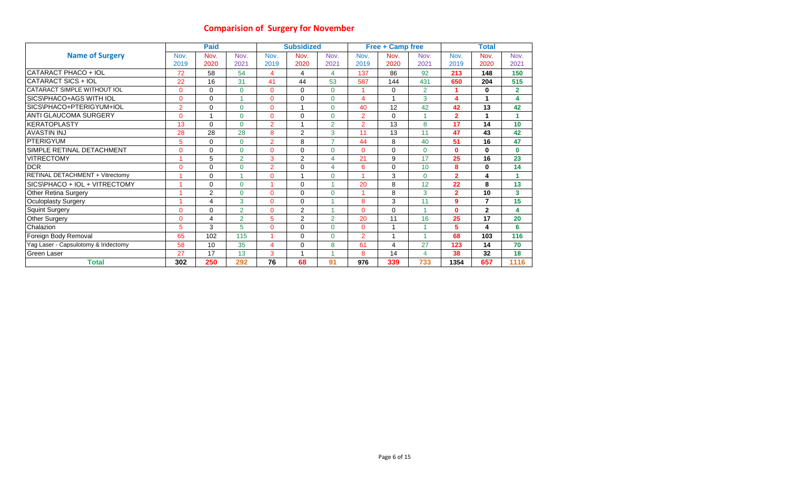# **Comparision of Surgery for November**

|                                      |                | <b>Paid</b>    |                |                | <b>Subsidized</b> |                         |                | <b>Free + Camp free</b> |                |                | Total          |                |
|--------------------------------------|----------------|----------------|----------------|----------------|-------------------|-------------------------|----------------|-------------------------|----------------|----------------|----------------|----------------|
| <b>Name of Surgery</b>               | Nov.           | Nov.           | Nov.           | Nov.           | Nov.              | Nov.                    | Nov.           | Nov.                    | Nov.           | Nov.           | Nov.           | Nov.           |
|                                      | 2019           | 2020           | 2021           | 2019           | 2020              | 2021                    | 2019           | 2020                    | 2021           | 2019           | 2020           | 2021           |
| CATARACT PHACO + IOL                 | 72             | 58             | 54             | 4              | 4                 | 4                       | 137            | 86                      | 92             | 213            | 148            | 150            |
| CATARACT SICS + IOL                  | 22             | 16             | 31             | 41             | 44                | 53                      | 587            | 144                     | 431            | 650            | 204            | 515            |
| CATARACT SIMPLE WITHOUT IOL          | $\overline{0}$ | 0              | $\overline{0}$ | $\mathbf{0}$   | $\Omega$          | $\Omega$                |                | 0                       | $\overline{2}$ |                | 0              | $\overline{2}$ |
| SICS\PHACO+AGS WITH IOL              | 0              | $\Omega$       | и              | $\Omega$       | $\Omega$          | $\Omega$                | 4              | $\mathbf 1$             | 3              | 4              | 1              | 4              |
| SICS\PHACO+PTERIGYUM+IOL             | $\overline{2}$ | $\Omega$       | 0              | $\mathbf{0}$   |                   | $\Omega$                | 40             | 12                      | 42             | 42             | 13             | 42             |
| <b>ANTI GLAUCOMA SURGERY</b>         | 0              | 1              | 0              | $\mathbf{0}$   | $\Omega$          | $\Omega$                | $\overline{2}$ | 0                       |                | $\overline{2}$ | 1              | 1              |
| IKERATOPLASTY                        | 13             | $\Omega$       | 0              | $\overline{2}$ |                   | $\overline{2}$          | $\overline{2}$ | 13                      | 8              | 17             | 14             | 10             |
| <b>AVASTIN INJ</b>                   | 28             | 28             | 28             | 8              | 2                 | 3                       | 11             | 13                      | 11             | 47             | 43             | 42             |
| <b>PTERIGYUM</b>                     | 5              | $\mathbf 0$    | 0              | $\overline{2}$ | 8                 | $\overline{7}$          | 44             | 8                       | 40             | 51             | 16             | 47             |
| SIMPLE RETINAL DETACHMENT            | 0              | 0              | 0              | $\mathbf 0$    | $\Omega$          | $\Omega$                | $\Omega$       | 0                       | $\mathbf{0}$   | $\mathbf 0$    | $\bf{0}$       | $\bf{0}$       |
| <b>VITRECTOMY</b>                    |                | 5              | $\overline{2}$ | 3              | 2                 | $\overline{\mathbf{4}}$ | 21             | 9                       | 17             | 25             | 16             | 23             |
| <b>DCR</b>                           | 0              | 0              | 0              | $\overline{2}$ | 0                 | $\overline{4}$          | 6              | 0                       | 10             | 8              | 0              | 14             |
| RETINAL DETACHMENT + Vitrectomy      |                | 0              |                | $\mathbf{0}$   |                   | $\Omega$                |                | 3                       | $\Omega$       | $\overline{2}$ | 4              | 1              |
| SICS\PHACO + IOL + VITRECTOMY        |                | $\Omega$       | 0              | и              | $\Omega$          |                         | 20             | 8                       | 12             | 22             | 8              | 13             |
| <b>Other Retina Surgery</b>          |                | $\overline{2}$ | $\overline{0}$ | $\mathbf{0}$   | $\Omega$          | $\Omega$                |                | 8                       | 3              | $\overline{2}$ | 10             | $\mathbf{3}$   |
| <b>Oculoplasty Surgery</b>           |                | 4              | 3              | $\mathbf{0}$   | $\Omega$          | и                       | 8              | 3                       | 11             | 9              | $\overline{7}$ | 15             |
| <b>Squint Surgery</b>                | $\Omega$       | $\Omega$       | $\overline{2}$ | $\Omega$       | 2                 | и                       | $\Omega$       | 0                       |                | $\mathbf{0}$   | $\mathbf{2}$   | 4              |
| <b>Other Surgery</b>                 | 0              | 4              | $\overline{2}$ | 5              | 2                 | $\overline{2}$          | 20             | 11                      | 16             | 25             | 17             | 20             |
| Chalazion                            | 5              | 3              | 5              | $\mathbf{0}$   | $\Omega$          | $\Omega$                | $\Omega$       | 1                       |                | 5              | 4              | 6              |
| Foreign Body Removal                 | 65             | 102            | 115            | 4              | $\Omega$          | $\Omega$                | $\overline{2}$ | 1                       |                | 68             | 103            | 116            |
| Yag Laser - Capsulotomy & Iridectomy | 58             | 10             | 35             | 4              | $\Omega$          | 8                       | 61             | $\overline{\mathbf{4}}$ | 27             | 123            | 14             | 70             |
| <b>Green Laser</b>                   | 27             | 17             | 13             | 3              |                   |                         | 8              | 14                      | 4              | 38             | 32             | 18             |
| <b>Total</b>                         | 302            | 250            | 292            | 76             | 68                | 91                      | 976            | 339                     | 733            | 1354           | 657            | 1116           |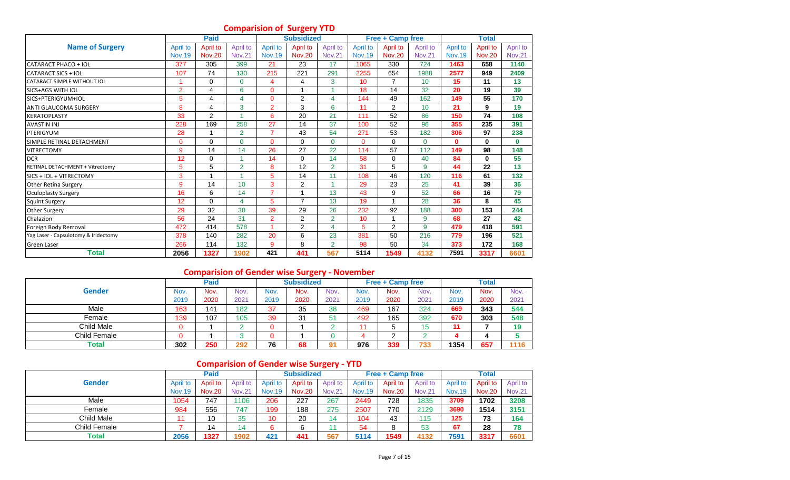# **Comparision of Surgery YTD**

|                                        |                | Paid          |                |                | - ت<br><b>Subsidized</b> |                |               | Free + Camp free |               |                 | <b>Total</b>  |               |
|----------------------------------------|----------------|---------------|----------------|----------------|--------------------------|----------------|---------------|------------------|---------------|-----------------|---------------|---------------|
| <b>Name of Surgery</b>                 | April to       | April to      | April to       | April to       | April to                 | April to       | April to      | April to         | April to      | <b>April to</b> | April to      | April to      |
|                                        | <b>Nov.19</b>  | <b>Nov.20</b> | <b>Nov.21</b>  | <b>Nov.19</b>  | <b>Nov.20</b>            | <b>Nov.21</b>  | <b>Nov.19</b> | <b>Nov.20</b>    | <b>Nov.21</b> | <b>Nov.19</b>   | <b>Nov.20</b> | <b>Nov.21</b> |
| CATARACT PHACO + IOL                   | 377            | 305           | 399            | 21             | 23                       | 17             | 1065          | 330              | 724           | 1463            | 658           | 1140          |
| CATARACT SICS + IOL                    | 107            | 74            | 130            | 215            | 221                      | 291            | 2255          | 654              | 1988          | 2577            | 949           | 2409          |
| <b>CATARACT SIMPLE WITHOUT IOL</b>     |                | $\Omega$      | $\Omega$       | 4              | 4                        | 3              | 10            | 7                | 10            | 15              | 11            | 13            |
| <b>SICS+AGS WITH IOL</b>               | $\overline{2}$ | 4             | 6              | $\mathbf{0}$   |                          |                | 18            | 14               | 32            | 20              | 19            | 39            |
| SICS+PTERIGYUM+IOL                     | 5              | 4             | 4              | $\mathbf{0}$   | 2                        | 4              | 144           | 49               | 162           | 149             | 55            | 170           |
| <b>ANTI GLAUCOMA SURGERY</b>           | 8              | 4             | 3              | $\overline{2}$ | 3                        | 6              | 11            | $\overline{2}$   | 10            | 21              | 9             | 19            |
| <b>KERATOPLASTY</b>                    | 33             | 2             |                | 6              | 20                       | 21             | 111           | 52               | 86            | 150             | 74            | 108           |
| <b>AVASTIN INJ</b>                     | 228            | 169           | 258            | 27             | 14                       | 37             | 100           | 52               | 96            | 355             | 235           | 391           |
| PTERIGYUM                              | 28             |               | $\overline{2}$ | $\overline{7}$ | 43                       | 54             | 271           | 53               | 182           | 306             | 97            | 238           |
| SIMPLE RETINAL DETACHMENT              | 0              | $\Omega$      | $\Omega$       | $\Omega$       | $\Omega$                 | $\Omega$       | $\Omega$      | $\Omega$         | $\Omega$      | $\bf{0}$        | $\mathbf{0}$  | $\bf{0}$      |
| <b>VITRECTOMY</b>                      | 9              | 14            | 14             | 26             | 27                       | 22             | 114           | 57               | 112           | 149             | 98            | 148           |
| <b>DCR</b>                             | 12             | $\mathbf 0$   |                | 14             | $\Omega$                 | 14             | 58            | $\mathbf 0$      | 40            | 84              | $\mathbf{0}$  | 55            |
| <b>RETINAL DETACHMENT + Vitrectomv</b> | 5              | 5             | $\overline{2}$ | 8              | 12                       | $\overline{2}$ | 31            | 5                | 9             | 44              | 22            | 13            |
| <b>SICS + IOL + VITRECTOMY</b>         | 3              |               |                | 5              | 14                       | 11             | 108           | 46               | 120           | 116             | 61            | 132           |
| <b>Other Retina Surgery</b>            | 9              | 14            | 10             | 3              | $\overline{2}$           |                | 29            | 23               | 25            | 41              | 39            | 36            |
| <b>Oculoplasty Surgery</b>             | 16             | 6             | 14             | $\overline{7}$ |                          | 13             | 43            | 9                | 52            | 66              | 16            | 79            |
| <b>Squint Surgery</b>                  | 12             | $\Omega$      | 4              | 5              | $\overline{ }$           | 13             | 19            | $\overline{ }$   | 28            | 36              | 8             | 45            |
| <b>Other Surgery</b>                   | 29             | 32            | 30             | 39             | 29                       | 26             | 232           | 92               | 188           | 300             | 153           | 244           |
| Chalazion                              | 56             | 24            | 31             | $\overline{2}$ | $\overline{2}$           | $\overline{2}$ | 10            | 1                | 9             | 68              | 27            | 42            |
| Foreign Body Removal                   | 472            | 414           | 578            |                | $\overline{2}$           | 4              | 6             | 2                | 9             | 479             | 418           | 591           |
| Yag Laser - Capsulotomy & Iridectomy   | 378            | 140           | 282            | 20             | 6                        | 23             | 381           | 50               | 216           | 779             | 196           | 521           |
| <b>Green Laser</b>                     | 266            | 114           | 132            | 9              | 8                        | $\overline{2}$ | 98            | 50               | 34            | 373             | 172           | 168           |
| <b>Total</b>                           | 2056           | 1327          | 1902           | 421            | 441                      | 567            | 5114          | 1549             | 4132          | 7591            | 3317          | 6601          |

# **Comparision of Gender wise Surgery - November**

|              |      | Paid |      |      | <b>Subsidized</b> |      |      | <b>Free + Camp free</b> |      |      | <b>Total</b> |      |
|--------------|------|------|------|------|-------------------|------|------|-------------------------|------|------|--------------|------|
| Gender       | Nov. | Nov. | Nov. | Nov. | Nov.              | Nov. | Nov. | Nov.                    | Nov. | Nov. | Nov.         | Nov. |
|              | 2019 | 2020 | 2021 | 2019 | 2020              | 2021 | 2019 | 2020                    | 2021 | 2019 | 2020         | 2021 |
| Male         | 163  | 141  | 182  | 37   | 35                | 38   | 469  | 167                     | 324  | 669  | 343          | 544  |
| Female       | 139  | 107  | 105  | 39   | 31                | 51   | 492  | 165                     | 392  | 670  | 303          | 548  |
| Child Male   |      |      |      |      |                   |      | 44   | э                       |      |      |              | 19   |
| Child Female |      |      |      |      |                   |      |      | $\sqrt{2}$<br><u>_</u>  |      |      |              |      |
| Total        | 302  | 250  | 292  | 76   | 68                | 91   | 976  | 339                     | 733  | 1354 | 657          | 1116 |

# **Comparision of Gender wise Surgery - YTD**

|               |               | <b>Paid</b>   |               |               | <b>Subsidized</b> |               |               | <b>Free + Camp free</b> |               |               | <b>Total</b>  |               |
|---------------|---------------|---------------|---------------|---------------|-------------------|---------------|---------------|-------------------------|---------------|---------------|---------------|---------------|
| <b>Gender</b> | April to      | April to      | April to      | April to      | April to          | April to      | April to      | April to                | April to      | April to      | April to      | April to      |
|               | <b>Nov.19</b> | <b>Nov.20</b> | <b>Nov.21</b> | <b>Nov.19</b> | <b>Nov.20</b>     | <b>Nov.21</b> | <b>Nov.19</b> | <b>Nov.20</b>           | <b>Nov.21</b> | <b>Nov.19</b> | <b>Nov.20</b> | <b>Nov.21</b> |
| Male          | 1054          | 747           | 1106          | 206           | 227               | 267           | 2449          | 728                     | 1835          | 3709          | 1702          | 3208          |
| Female        | 984           | 556           | 747           | 199           | 188               | 275           | 2507          | 770                     | 2129          | 3690          | 1514          | 3151          |
| Child Male    |               | 10            | 35            | 10            | 20                | 14            | 104           | 43                      | 115           | 125           | 73            | 164           |
| Child Female  |               | 14            | 14            | 6             |                   |               | 54            |                         | 53            | 67            | 28            | 78            |
| Total         | 2056          | 1327          | 1902          | 421           | 441               | 567           | 5114          | 1549                    | 4132          | 7591          | 3317          | 6601          |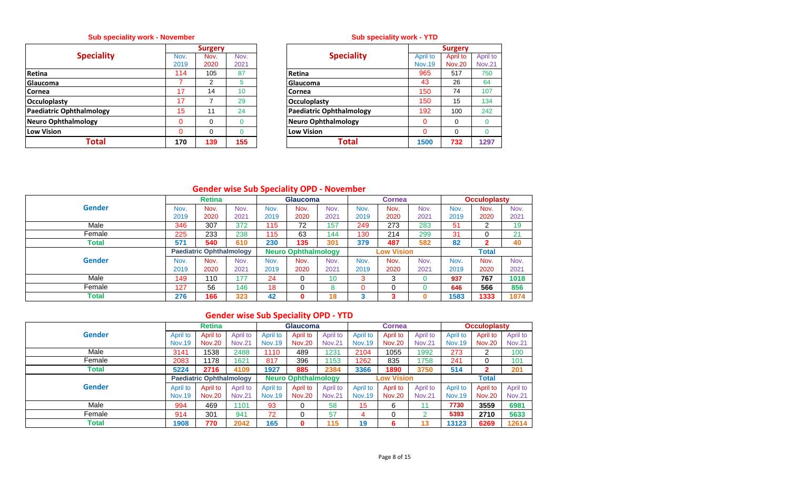# **Sub speciality work - November**

|                                 |          | <b>Surgery</b> |      |                                 |
|---------------------------------|----------|----------------|------|---------------------------------|
| <b>Speciality</b>               | Nov.     | Nov.           | Nov. | <b>Speciality</b>               |
|                                 | 2019     | 2020           | 2021 |                                 |
| Retina                          | 114      | 105            | 87   | <b>Retina</b>                   |
| <b>Glaucoma</b>                 |          | 2              | 5    | Glaucoma                        |
| <b>Cornea</b>                   | 17       | 14             | 10   | Cornea                          |
| <b>Occuloplasty</b>             | 17       | 7              | 29   | <b>Occuloplasty</b>             |
| <b>Paediatric Ophthalmology</b> | 15       | 11             | 24   | <b>Paediatric Ophthalmology</b> |
| Neuro Ophthalmology             | 0        | $\Omega$       | 0    | <b>Neuro Ophthalmology</b>      |
| Low Vision                      | $\Omega$ | $\Omega$       |      | <b>Low Vision</b>               |
| Total                           | 170      | 139            | 155  | <b>Total</b>                    |

## **Sub speciality work - YTD**

|                | <b>Surgery</b> |                 |                                 |               | <b>Surgery</b> |               |
|----------------|----------------|-----------------|---------------------------------|---------------|----------------|---------------|
| Nov.           | Nov.           | Nov.            | <b>Speciality</b>               | April to      | April to       | April to      |
| 2019           | 2020           | 2021            |                                 | <b>Nov.19</b> | <b>Nov.20</b>  | <b>Nov.21</b> |
| 114            | 105            | 87              | <b>Retina</b>                   | 965           | 517            | 750           |
| 7              | 2              | 5               | Glaucoma                        | 43            | 26             | 64            |
| 17             | 14             | 10 <sup>°</sup> | <b>Cornea</b>                   | 150           | 74             | 107           |
| 17             | 7              | 29              | <b>Occuloplasty</b>             | 150           | 15             | 134           |
| 15             | 11             | 24              | <b>Paediatric Ophthalmology</b> | 192           | 100            | 242           |
| $\overline{0}$ | 0              |                 | Neuro Ophthalmology             | 0             | 0              | $\Omega$      |
| $\Omega$       | 0              | $\Omega$        | <b>Low Vision</b>               | $\Omega$      | $\Omega$       | $\Omega$      |
| 170            | 139            | 155             | <b>Total</b>                    | 1500          | 732            | 1297          |

# **Gender wise Sub Speciality OPD - November**

|               |      | <b>Retina</b>                   |      |      | <b>Glaucoma</b>            |                 |      | <b>Cornea</b>     |      |      | <b>Occuloplasty</b> |      |
|---------------|------|---------------------------------|------|------|----------------------------|-----------------|------|-------------------|------|------|---------------------|------|
| <b>Gender</b> | Nov. | Nov.                            | Nov. | Nov. | Nov.                       | Nov.            | Nov. | Nov.              | Nov. | Nov. | Nov.                | Nov. |
|               | 2019 | 2020                            | 2021 | 2019 | 2020                       | 2021            | 2019 | 2020              | 2021 | 2019 | 2020                | 2021 |
| Male          | 346  | 307                             | 372  | 115  | 72                         | 157             | 249  | 273               | 283  | 51   | 2                   | 19   |
| Female        | 225  | 233                             | 238  | 115  | 63                         | 144             | 130  | 214               | 299  | 31   |                     | 21   |
| Total         | 571  | 540                             | 610  | 230  | 135                        | 301             | 379  | 487               | 582  | 82   | 2                   | 40   |
|               |      | <b>Paediatric Ophthalmology</b> |      |      | <b>Neuro Ophthalmology</b> |                 |      | <b>Low Vision</b> |      |      | <b>Total</b>        |      |
| <b>Gender</b> | Nov. | Nov.                            | Nov. | Nov. | Nov.                       | Nov.            | Nov. | Nov.              | Nov. | Nov. | Nov.                | Nov. |
|               | 2019 | 2020                            | 2021 | 2019 | 2020                       | 2021            | 2019 | 2020              | 2021 | 2019 | 2020                | 2021 |
| Male          | 149  | 110                             | 177  | 24   | 0                          | 10 <sup>°</sup> | 3    | 3                 |      | 937  | 767                 | 1018 |
| Female        | 127  | 56                              | 146  | 18   | $\Omega$                   | 8               |      |                   |      | 646  | 566                 | 856  |
| Total         | 276  | 166                             | 323  | 42   | 0                          | 18              | 3    | ю                 | 0    | 583  | 1333                | 1874 |

# **Gender wise Sub Speciality OPD - YTD**

|               |               | <b>Retina</b>                   |               |               | <b>Glaucoma</b>            |               |               | <b>Cornea</b>     |               |               | <b>Occuloplasty</b> |               |
|---------------|---------------|---------------------------------|---------------|---------------|----------------------------|---------------|---------------|-------------------|---------------|---------------|---------------------|---------------|
| <b>Gender</b> | April to      | April to                        | April to      | April to      | April to                   | April to      | April to      | April to          | April to      | April to      | April to            | April to      |
|               | <b>Nov.19</b> | <b>Nov.20</b>                   | <b>Nov.21</b> | <b>Nov.19</b> | <b>Nov.20</b>              | <b>Nov.21</b> | <b>Nov.19</b> | <b>Nov.20</b>     | <b>Nov.21</b> | <b>Nov.19</b> | <b>Nov.20</b>       | <b>Nov.21</b> |
| Male          | 3141          | 1538                            | 2488          | 1110          | 489                        | 1231          | 2104          | 1055              | 1992          | 273           | 2                   | 100           |
| Female        | 2083          | 1178                            | 1621          | 817           | 396                        | 153           | 1262          | 835               | 1758          | 241           | 0                   | 101           |
| Total         | 5224          | 2716                            | 4109          | 1927          | 885                        | 2384          | 3366          | 1890              | 3750          | 514           | 2                   | 201           |
|               |               | <b>Paediatric Ophthalmology</b> |               |               | <b>Neuro Ophthalmology</b> |               |               | <b>Low Vision</b> |               |               | <b>Total</b>        |               |
| <b>Gender</b> | April to      | April to                        | April to      | April to      | April to                   | April to      | April to      | April to          | April to      | April to      | April to            | April to      |
|               | <b>Nov.19</b> | <b>Nov.20</b>                   | <b>Nov.21</b> | <b>Nov.19</b> | <b>Nov.20</b>              | <b>Nov.21</b> | <b>Nov.19</b> | <b>Nov.20</b>     | <b>Nov.21</b> | <b>Nov.19</b> | <b>Nov.20</b>       | <b>Nov.21</b> |
| Male          | 994           | 469                             | 1101          | 93            |                            | 58            | 15            | 6                 | 11            | 7730          | 3559                | 6981          |
| Female        | 914           | 301                             | 941           | 72            |                            | 57            | 4             |                   |               | 5393          | 2710                | 5633          |
| <b>Total</b>  | 1908          | 770                             | 2042          | 165           |                            | 115           | 19            | 6                 | 13            | 13123         | 6269                | 12614         |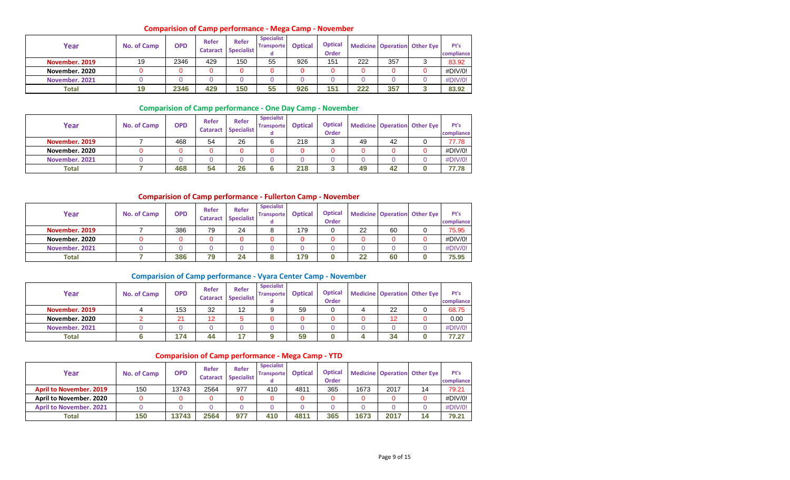#### **Comparision of Camp performance - Mega Camp - November**

| Year           | <b>No. of Camp</b> | <b>OPD</b> | Refer<br><b>Cataract</b> | <b>Refer</b><br><b>Specialist</b> | <b>Specialist</b><br><b>Transporte</b> | <b>Optical</b> | <b>Optical</b><br>Order |     |     | <b>Medicine Operation Other Eye</b> | Pt's<br>compliance |
|----------------|--------------------|------------|--------------------------|-----------------------------------|----------------------------------------|----------------|-------------------------|-----|-----|-------------------------------------|--------------------|
| November, 2019 | 19                 | 2346       | 429                      | 150                               | 55                                     | 926            | 151                     | 222 | 357 |                                     | 83.92              |
| November, 2020 |                    |            |                          |                                   |                                        | 0              |                         |     |     |                                     | #DIV/0!            |
| November, 2021 |                    |            |                          |                                   |                                        | 0              |                         |     |     |                                     | #DIV/0!            |
| <b>Total</b>   | 19                 | 2346       | 429                      | 150                               | 55                                     | 926            | 151                     | 222 | 357 |                                     | 83.92              |

#### **Comparision of Camp performance - One Day Camp - November**

| Year           | <b>No. of Camp</b> | <b>OPD</b> | Refer<br><b>Cataract</b> | <b>Refer</b><br>Specialist | <b>Specialist</b><br><b>Transporte</b><br>α | <b>Optical</b> | <b>Optical</b><br><b>Order</b> |    |    | <b>Medicine Operation Other Eye</b> | Pt's<br>compliance |
|----------------|--------------------|------------|--------------------------|----------------------------|---------------------------------------------|----------------|--------------------------------|----|----|-------------------------------------|--------------------|
| November, 2019 |                    | 468        | 54                       | 26                         |                                             | 218            | ⌒<br>ບ                         | 49 | 42 |                                     | 77.78              |
| November, 2020 |                    | 0          |                          |                            |                                             |                |                                |    |    |                                     | #DIV/0!            |
| November, 2021 |                    |            |                          |                            |                                             |                |                                |    |    |                                     | #DIV/0!            |
| <b>Total</b>   |                    | 468        | 54                       | 26                         |                                             | 218            |                                | 49 | 42 |                                     | 77.78              |

#### **Comparision of Camp performance - Fullerton Camp - November**

| Year           | No. of Camp | <b>OPD</b> | Refer<br><b>Cataract</b> | <b>Refer</b><br><b>Specialist</b> | <b>Specialist</b><br><b>Transporte</b> | <b>Optical</b> | <b>Optical</b><br><b>Order</b> |    | <b>Medicine Operation</b> | <b>Other Eve</b> | Pt's<br>compliance |
|----------------|-------------|------------|--------------------------|-----------------------------------|----------------------------------------|----------------|--------------------------------|----|---------------------------|------------------|--------------------|
| November, 2019 |             | 386        | 79                       | 24                                |                                        | 179            |                                | 22 | 60                        |                  | 75.95              |
| November, 2020 |             |            | 0                        |                                   |                                        |                |                                |    |                           |                  | #DIV/0!            |
| November, 2021 |             |            |                          |                                   |                                        |                |                                |    |                           |                  | #DIV/0!            |
| <b>Total</b>   |             | 386        | 79                       | 24                                |                                        | 179            |                                | 22 | 60                        |                  | 75.95              |

#### **Comparision of Camp performance - Vyara Center Camp - November**

| Year           | No. of Camp | <b>OPD</b> | Refer<br><b>Cataract</b> | <b>Refer</b><br><b>Specialist</b> | <b>Specialist</b><br><b>Transporte</b> | <b>Optical</b> | <b>Optical</b><br><b>Order</b> |    | Medicine Operation Other Eye | Pt's<br>compliance |
|----------------|-------------|------------|--------------------------|-----------------------------------|----------------------------------------|----------------|--------------------------------|----|------------------------------|--------------------|
| November, 2019 |             | 153        | 32                       | 12                                |                                        | 59             |                                | 22 |                              | 68.75              |
| November, 2020 |             | 21         | 12                       |                                   |                                        |                |                                | 12 |                              | 0.00               |
| November, 2021 |             |            |                          | 0                                 |                                        |                |                                |    |                              | #DIV/0!            |
| <b>Total</b>   |             | 174        | 44                       | 17                                |                                        | 59             |                                | 34 |                              | 77.27              |

#### **Comparision of Camp performance - Mega Camp - YTD**

| Year                           | No. of Camp | <b>OPD</b> | Refer<br><b>Cataract</b> | Refer<br><b>Specialist</b> | <b>Specialist</b><br><b>Transporte</b> | <b>Optical</b> | <b>Optical</b><br><b>Order</b> |      |      | <b>Medicine Operation Other Eye</b> | Pt's<br>compliance |
|--------------------------------|-------------|------------|--------------------------|----------------------------|----------------------------------------|----------------|--------------------------------|------|------|-------------------------------------|--------------------|
| <b>April to November, 2019</b> | 150         | 13743      | 2564                     | 977                        | 410                                    | 481            | 365                            | 1673 | 2017 | 14                                  | 79.21              |
| April to November, 2020        |             | 0          |                          |                            |                                        |                |                                |      |      |                                     | #DIV/0!            |
| <b>April to November, 2021</b> |             | 0          |                          |                            |                                        |                |                                |      |      |                                     | $\#$ DIV/0!        |
| Total                          | 150         | 13743      | 2564                     | 977                        | 410                                    | 4811           | 365                            | 1673 | 2017 | 14                                  | 79.21              |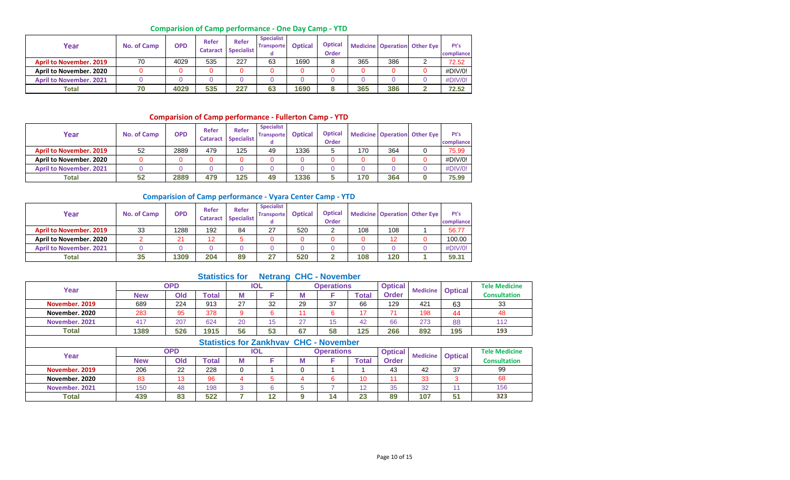## **Comparision of Camp performance - One Day Camp - YTD**

| Year                           | <b>No. of Camp</b> | <b>OPD</b> | Refer<br><b>Cataract</b> | Refer<br><b>Specialist</b> | <b>Specialist</b><br><b>Transporte</b> | <b>Optical</b> | <b>Optical</b><br><b>Order</b> |     |     | <b>Medicine Operation Other Eye</b> | Pt's<br>compliance |
|--------------------------------|--------------------|------------|--------------------------|----------------------------|----------------------------------------|----------------|--------------------------------|-----|-----|-------------------------------------|--------------------|
| <b>April to November, 2019</b> | 70                 | 4029       | 535                      | 227                        | 63                                     | 1690           |                                | 365 | 386 |                                     | 72.52              |
| April to November. 2020        |                    |            |                          | 0                          |                                        |                |                                |     |     |                                     | #DIV/0!            |
| <b>April to November, 2021</b> |                    |            |                          |                            |                                        |                |                                |     |     |                                     | #DIV/0!            |
| <b>Total</b>                   | 70                 | 4029       | 535                      | 227                        | 63                                     | 1690           |                                | 365 | 386 |                                     | 72.52              |

## **Comparision of Camp performance - Fullerton Camp - YTD**

| Year                           | No. of Camp | <b>OPD</b> | Refer<br><b>Cataract</b> | <b>Refer</b><br><b>Specialist</b> | <b>Specialist</b><br><b>Transporte</b> | <b>Optical</b> | <b>Optical</b><br>Order |     |     | <b>Medicine Operation Other Eye</b> | Pt's<br>compliance |
|--------------------------------|-------------|------------|--------------------------|-----------------------------------|----------------------------------------|----------------|-------------------------|-----|-----|-------------------------------------|--------------------|
| <b>April to November, 2019</b> | 52          | 2889       | 479                      | 125                               | 49                                     | 1336           |                         | 170 | 364 |                                     | 75.99              |
| April to November, 2020        |             | 0          |                          |                                   |                                        |                |                         |     |     |                                     | #DIV/0!            |
| <b>April to November, 2021</b> |             |            |                          |                                   |                                        |                |                         |     |     |                                     | #DIV/0!            |
| <b>Total</b>                   | 52          | 2889       | 479                      | 125                               | 49                                     | 1336           |                         | 170 | 364 |                                     | 75.99              |

#### **Comparision of Camp performance - Vyara Center Camp - YTD**

| Year                           | No. of Camp | <b>OPD</b> | Refer<br><b>Cataract</b> | <b>Refer</b><br><b>Specialist</b> | <b>Specialist</b><br><b>Transporte</b><br>a | <b>Optical</b> | <b>Optical</b><br><b>Order</b> |     |     | <b>Medicine Operation Other Eye</b> | Pt's<br>compliance |
|--------------------------------|-------------|------------|--------------------------|-----------------------------------|---------------------------------------------|----------------|--------------------------------|-----|-----|-------------------------------------|--------------------|
| <b>April to November, 2019</b> | 33          | 1288       | 192                      | 84                                | 27                                          | 520            |                                | 108 | 108 |                                     | 56.77              |
| April to November. 2020        |             | 21         | 12                       | F                                 |                                             |                |                                |     | 12  |                                     | 100.00             |
| <b>April to November, 2021</b> |             |            |                          |                                   |                                             |                |                                |     |     |                                     | #DIV/0!            |
| Total                          | 35          | 1309       | 204                      | 89                                | 27                                          | 520            |                                | 108 | 120 |                                     | 59.31              |

## **Statistics for Netrang CHC - November**

| Year           |                                      | <b>OPD</b> |       |    | <b>IOL</b> |        | <b>Operations</b> |       | <b>Optical</b> | <b>Medicine</b> | <b>Optical</b> | <b>Tele Medicine</b> |  |
|----------------|--------------------------------------|------------|-------|----|------------|--------|-------------------|-------|----------------|-----------------|----------------|----------------------|--|
|                | <b>New</b>                           | Old        | Гоtal | М  |            | w      |                   | Total | <b>Order</b>   |                 |                | <b>Consultation</b>  |  |
| November, 2019 | 689                                  | 224        | 913   | 27 | 32         | 29     | 37                | 66    | 129            | 421             | 63             | 33                   |  |
| November. 2020 | 283                                  | 95         | 378   |    |            |        |                   | 17    |                | 198             | 44             | 48                   |  |
| November, 2021 | 417                                  | 207        | 624   | 20 | ィド         | $\sim$ | 15                | 42    | 66             | 273             | 88             | 112                  |  |
| Total          | 1389                                 | 526        | 1915  | 56 | 53         | 67     | 58                | 125   | 266            | 892             | 195            | 193                  |  |
|                | Clatinian few Zankhymy CHC Maynember |            |       |    |            |        |                   |       |                |                 |                |                      |  |

|                |            |     |              |            |   | Statistics for Zankhyay CHC - November |             |                |                 |                |                      |
|----------------|------------|-----|--------------|------------|---|----------------------------------------|-------------|----------------|-----------------|----------------|----------------------|
| Year           |            | OPD |              | <b>IOL</b> |   | <b>Operations</b>                      |             | <b>Optical</b> | <b>Medicine</b> | <b>Optical</b> | <b>Tele Medicine</b> |
|                | <b>New</b> | Old | <b>Total</b> |            | M |                                        | $\sf total$ | <b>Order</b>   |                 |                | <b>Consultation</b>  |
| November, 2019 | 206        | 22  | 228          |            |   |                                        |             | 43             | 42              | 37             | 99                   |
| November, 2020 | 83         |     | 96           |            |   |                                        | 10          |                | 33              |                | 68                   |
| November, 2021 | 150        | 48  | 198          |            |   |                                        | 10          | 35             | 32              |                | 156                  |
| Total          | 439        | 83  | 522          | 12         |   |                                        | 23          | 89             | 107             | 51             | 323                  |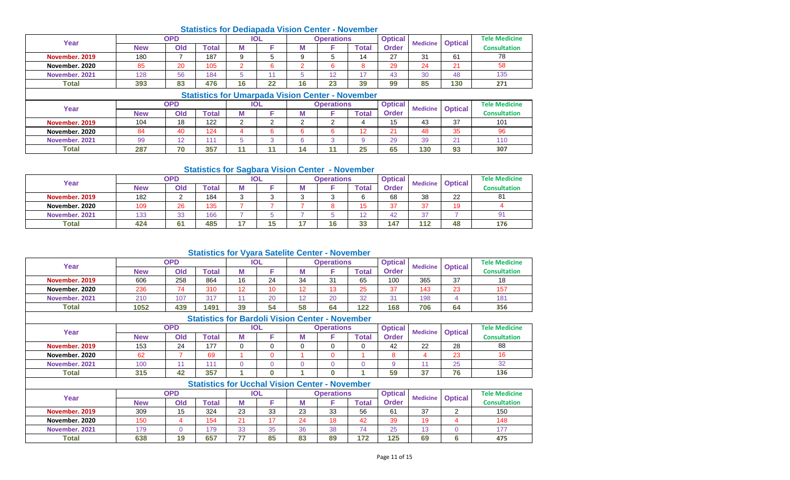|                |            |            | <b>Statistics for Dediapada Vision Center - November</b> |    |     |    |                   |              |                |    |                                        |                      |
|----------------|------------|------------|----------------------------------------------------------|----|-----|----|-------------------|--------------|----------------|----|----------------------------------------|----------------------|
| Year           |            | <b>OPD</b> |                                                          |    | IOL |    | <b>Operations</b> |              | <b>Optical</b> |    |                                        | <b>Tele Medicine</b> |
|                | <b>New</b> | Old        | <b>Total</b>                                             | М  |     | M  |                   | <b>Total</b> | <b>Order</b>   |    | <b>Medicine Optical</b>                | <b>Consultation</b>  |
| November, 2019 | 180        |            | 187                                                      |    | ◡   |    |                   | 14           | 27             | 31 | 61                                     | 78                   |
| November, 2020 | 85         | 20         | 105                                                      |    | 6   |    |                   |              | 29             | 24 | 21                                     | 58                   |
| November, 2021 | 128        | 56         | 184                                                      |    |     |    | 12                |              | 43             | 30 | 48                                     | 135                  |
| <b>Total</b>   | 393        | 83         | 476                                                      | 16 | 22  | 16 | 23                | 39           | 99             | 85 | 130                                    | 271                  |
|                |            |            | <b>Statistics for Umarpada Vision Center - November</b>  |    |     |    |                   |              |                |    |                                        |                      |
| $V - -$        |            | OPD        |                                                          |    | IOL |    | <b>Operations</b> |              | <b>Optical</b> |    | <b><i>Administration Continued</i></b> | <b>Tele Medicine</b> |

| Year           |            | ים ו           |       | $\sim$ |          | <b>UNGRUPIIS</b> |       | <b>Upuluar</b> | <b>Medicine</b> | <b>Optical</b> | ו כוכ ואוכשונוווכ   |
|----------------|------------|----------------|-------|--------|----------|------------------|-------|----------------|-----------------|----------------|---------------------|
|                | <b>New</b> | Old            | ™otal |        | IVI      |                  | `otal | <b>Order</b>   |                 |                | <b>Consultation</b> |
| November. 2019 | 104        | 18             | 122   | o      | <u>_</u> |                  |       | 15             | 43              | 37             | 101                 |
| November, 2020 |            | 40             | 124   |        |          |                  | . .   | $\mathbf{A}$   | 48              | 35             | 96                  |
| November, 2021 | 99         | $\overline{a}$ |       |        |          |                  |       | 29             | 39              | $\sim$         | 110                 |
| <b>Total</b>   | 287        | 70             | 357   |        | 14       |                  | 25    | 65             | 130             | 93             | 307                 |

#### **Statistics for Sagbara Vision Center - November**

| Year           |            | <b>OPD</b>     |       |          | <b>IOL</b> |    | <b>Operations</b> |       | <b>Optical</b> | <b>Medicine</b> | <b>Optical</b> | <b>Tele Medicine</b> |
|----------------|------------|----------------|-------|----------|------------|----|-------------------|-------|----------------|-----------------|----------------|----------------------|
|                | <b>New</b> | Old            | `otal | 7.7<br>M |            |    |                   | Total | Order          |                 |                | <b>Consultation</b>  |
| November, 2019 | 182        |                | 184   | ົ        |            |    |                   |       | 68             | 38              | 22             | 81                   |
| November, 2020 | 109        | 26             | 135   |          |            |    |                   |       | 37             | 37              | 19             |                      |
| November, 2021 | 133        | 33<br>ഄഄ       | 166   |          |            |    |                   |       | 42             | -37             |                | 91                   |
| <b>Total</b>   | 424        | 6 <sup>1</sup> | 485   | 47       | 15         | 45 | 1 C<br>10.        | 33    | 147            | 112             | 48             | 176                  |

# **Statistics for Vyara Satelite Center - November**

| Year           |            | <b>OPD</b> |       |          | <b>IOL</b>                                             |          | <b>Operations</b> |              | <b>Optical</b> | <b>Medicine</b> | <b>Optical</b> | <b>Tele Medicine</b> |
|----------------|------------|------------|-------|----------|--------------------------------------------------------|----------|-------------------|--------------|----------------|-----------------|----------------|----------------------|
|                | <b>New</b> | Old        | Total | M        | F                                                      | М        | F                 | Total        | <b>Order</b>   |                 |                | <b>Consultation</b>  |
| November, 2019 | 606        | 258        | 864   | 16       | 24                                                     | 34       | 31                | 65           | 100            | 365             | 37             | 18                   |
| November, 2020 | 236        | 74         | 310   | 12       | 10 <sup>1</sup>                                        | 12       | 13                | 25           | 37             | 143             | 23             | 157                  |
| November. 2021 | 210        | 107        | 317   | 11       | 20                                                     | 12       | 20                | 32           | 31             | 198             | 4              | 181                  |
| Total          | 1052       | 439        | 1491  | 39       | 54                                                     | 58       | 64                | 122          | 168            | 706             | 64             | 356                  |
|                |            |            |       |          | <b>Statistics for Bardoli Vision Center - November</b> |          |                   |              |                |                 |                |                      |
|                | <b>OPD</b> |            |       |          | <b>IOL</b>                                             |          | <b>Operations</b> |              | <b>Optical</b> |                 |                | <b>Tele Medicine</b> |
| Year           | <b>New</b> | Old        | Total | М        | F                                                      | М        | F                 | Total        | <b>Order</b>   | <b>Medicine</b> | <b>Optical</b> | <b>Consultation</b>  |
| November, 2019 | 153        | 24         | 177   | $\Omega$ | 0                                                      | $\Omega$ | $\Omega$          | $\Omega$     | 42             | 22              | 28             | 88                   |
| November, 2020 | 62         | 7          | 69    |          | $\mathbf{0}$                                           |          | $\Omega$          |              | 8              | $\overline{4}$  | 23             | 16                   |
| November. 2021 | 100        | 11         | 111   | $\Omega$ | $\mathbf{0}$                                           | $\Omega$ | $\Omega$          | $\Omega$     | 9              | 11              | 25             | 32                   |
| <b>Total</b>   | 315        | 42         | 357   |          | $\bf{0}$                                               |          | $\bf{0}$          |              | 59             | 37              | 76             | 136                  |
|                |            |            |       |          | <b>Statistics for Ucchal Vision Center - November</b>  |          |                   |              |                |                 |                |                      |
|                |            | <b>OPD</b> |       |          | <b>IOL</b>                                             |          | <b>Operations</b> |              | <b>Optical</b> |                 |                | <b>Tele Medicine</b> |
| Year           | <b>New</b> | Old        | Total | M        | F                                                      | М        | F                 | <b>Total</b> | <b>Order</b>   | <b>Medicine</b> | <b>Optical</b> | <b>Consultation</b>  |
| November, 2019 | 309        | 15         | 324   | 23       | 33                                                     | 23       | 33                | 56           | 61             | 37              | $\overline{2}$ | 150                  |
| November, 2020 | 150        | 4          | 154   | 21       | 17                                                     | 24       | 18                | 42           | 39             | 19              | 4              | 148                  |
| November, 2021 | 179        | $\Omega$   | 179   | 33       | 35                                                     | 36       | 38                | 74           | 25             | 13              | $\Omega$       | 177                  |

**Total 638 19 657 77 85 83 89 172 125 69 6**

**475**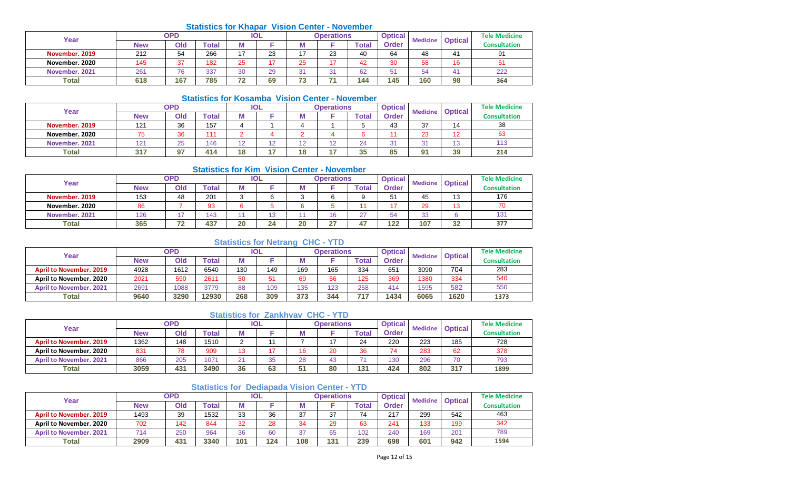#### **Statistics for Khapar Vision Center - November**

| Year           |     | <b>OPD</b> |       |                | <b>IOL</b> |            | <b>Operations</b> |       | <b>Optical</b> | <b>Medicine</b> | <b>Optical</b> | <b>Tele Medicine</b> |
|----------------|-----|------------|-------|----------------|------------|------------|-------------------|-------|----------------|-----------------|----------------|----------------------|
|                | New | Old        | Total | Μ              |            |            |                   | Total | Order          |                 |                | Consultation         |
| November, 2019 | 212 | 54         | 266   | $\overline{ }$ | 23         | $1 -$      | 23                | 40    | 64             | 48              | 4 <sup>1</sup> | 91                   |
| November, 2020 | 145 | 37         | 182   | 25             |            | 25         | 4 T               | 42    | 30             | 58              | 16             | 51                   |
| November, 2021 | 261 | 76         | 337   | 30             | 29         | $\sim$     | $\sim$<br>ັ       | 62    | 51             | 54              | 4              | 222                  |
| <b>Total</b>   | 618 | 167        | 785   | 72             | 69         | - 0<br>د . | -                 | 144   | 145            | 160             | 98             | 364                  |

#### **Statistics for Kosamba Vision Center - November**

| Year           |              | OPD |              |             | <b>IOL</b>     |            | <b>Operations</b> |                 | <b>Optical</b> | <b>Medicine</b> | <b>Optical</b> | <b>Tele Medicine</b> |
|----------------|--------------|-----|--------------|-------------|----------------|------------|-------------------|-----------------|----------------|-----------------|----------------|----------------------|
|                | New          | Old | <b>Total</b> | IVІ         |                |            |                   | Total           | <b>Order</b>   |                 |                | <b>Consultation</b>  |
| November, 2019 | 121          | 36  | 157          |             |                |            |                   |                 | 43             | ົ<br>ັ          | 14             | 38                   |
| November. 2020 |              | 36  | 111          |             |                |            |                   |                 |                | co              | 12             | 63                   |
| November. 2021 | $12^{\circ}$ | 25  | 146          | $\sim$<br>∼ | $\overline{a}$ |            | ໍດ                | $\bigcap$<br>-- | $\sim$<br>ັ    | $\sim$          | $\sim$<br>ں ا  | 113                  |
| <b>Total</b>   | 247          | 67  | 414          | 18          |                | 4 O<br>. O | Ē                 | 25<br>ູວວ       | 85             | $\mathbf{O}$    | 39             | 214                  |

### **Statistics for Kim Vision Center - November**

| Year           |            | OPD                      |              |        | IOL                   |    | <b>Operations</b> |        | <b>Optical</b> | <b>Medicine</b> | <b>Optical</b> | <b>Tele Medicine</b> |
|----------------|------------|--------------------------|--------------|--------|-----------------------|----|-------------------|--------|----------------|-----------------|----------------|----------------------|
|                | <b>New</b> | Old                      | <b>Total</b> | M      |                       | M  |                   | Total  | <b>Order</b>   |                 |                | <b>Consultation</b>  |
| November, 2019 | 153        | 48                       | 201          | ⌒<br>ັ |                       |    |                   |        | 51             | 45              | 13             | 176                  |
| November, 2020 | 86         |                          | 93           |        |                       |    |                   |        |                | 29              | 13             | 70                   |
| November, 2021 | 126        | $\overline{\phantom{a}}$ | 143          |        | $\overline{ }$<br>ں ا |    | 16                | $\sim$ | 54             | $\cap$<br>ഄഄ    |                | 13'                  |
| <b>Total</b>   | 365        | ラベ                       | 437          | 20     | 24                    | 20 | - 27<br>$\sim$    | 45.    | 122            | 107             | 32             | 377                  |

## **Statistics for Netrang CHC - YTD**

| Year                           |            | <b>OPD</b> |             |     | <b>IOL</b> |     | <b>Operations</b> |              | <b>Optical</b> | <b>Medicine</b> | <b>Optical</b> | <b>Tele Medicine</b> |
|--------------------------------|------------|------------|-------------|-----|------------|-----|-------------------|--------------|----------------|-----------------|----------------|----------------------|
|                                | <b>New</b> | Old        | $\tau$ otal |     |            |     |                   | <b>Total</b> | <b>Order</b>   |                 |                | <b>Consultation</b>  |
| <b>April to November, 2019</b> | 4928       | 1612       | 6540        | 130 | 149        | 169 | 165               | 334          | 651            | 3090            | 704            | 283                  |
| April to November, 2020        | 2021       | 590        | 2611        | 50  | 51         | 69  | 56                | 125          | 369            | 1380            | 334            | 540                  |
| <b>April to November, 2021</b> | 2691       | 1088       | 3779        | 88  | 109        | 135 | 123               | 258          | 414            | 1595            | 582            | 550                  |
| <b>Total</b>                   | 9640       | 3290       | 12930       | 268 | 309        | 373 | 344               | 717          | 1434           | 6065            | 1620           | 1373                 |

#### **Statistics for Zankhvav CHC - YTD**

| Year                           |            | <b>OPD</b> |             |            | IOL |    | Operations |       | <b>Optical</b> | <b>Medicine</b> | <b>Optical</b> | <b>Tele Medicine</b> |
|--------------------------------|------------|------------|-------------|------------|-----|----|------------|-------|----------------|-----------------|----------------|----------------------|
|                                | <b>New</b> | Old        | $\tau$ otal |            |     |    |            | Гоtal | Order          |                 |                | <b>Consultation</b>  |
| <b>April to November, 2019</b> | 1362       | 148        | 1510        |            |     |    |            | 24    | 220            | 223             | 185            | 728                  |
| April to November, 2020        | 831        | 78         | 909         | $\sqrt{2}$ |     |    | 20         | 36    | 74             | 283             | 62             | 378                  |
| <b>April to November, 2021</b> | 866        | 205        | 1071        | $\bigcap$  | 35  | 28 |            |       | 130            | 296             | 70             | 793                  |
| <b>Total</b>                   | 3059       | 431        | 3490        | 36         | 63  | 51 | 80         | 131   | 424            | 802             | 317            | 1899                 |

## **Statistics for Dediapada Vision Center - YTD**

| Year                           |            | <b>OPD</b> |       |     | IOL |         | Operations |       | <b>Optical</b> | <b>Medicine</b> | <b>Optical</b> | <b>Tele Medicine</b> |
|--------------------------------|------------|------------|-------|-----|-----|---------|------------|-------|----------------|-----------------|----------------|----------------------|
|                                | <b>New</b> | Old        | `otal |     |     |         |            | Total | <b>Order</b>   |                 |                | <b>Consultation</b>  |
| <b>April to November, 2019</b> | 1493       | 39         | 1532  | 33  | 36  | 27<br>◡ | 37         | 74    | 217            | 299             | 542            | 463                  |
| April to November, 2020        | 702        | 142        | 844   | 32  | 28  | 21      | 29         | 63    | 241            | 133             | 199            | 342                  |
| <b>April to November, 2021</b> | 714        | 250        | 964   | 36  | 60  | ົ       | 65         | 102   | 240            | 169             | 201            | 789                  |
| <b>Total</b>                   | 2909       | 431        | 3340  | 101 | 124 | 108     | 131        | 239   | 698            | 601             | 942            | 1594                 |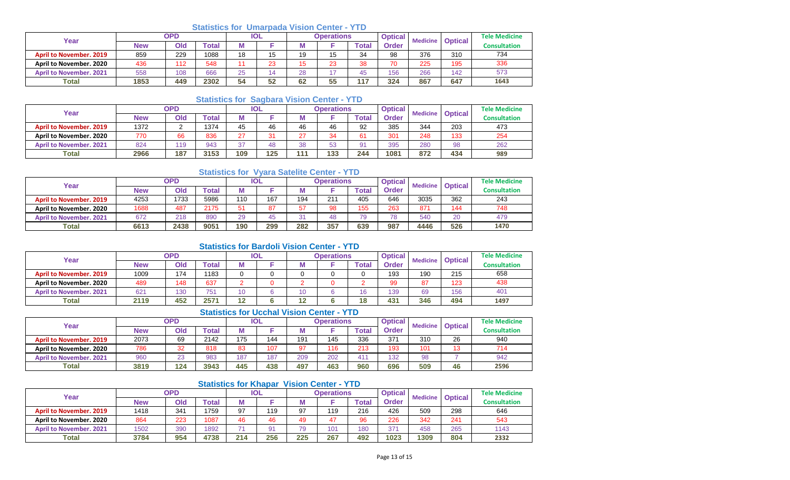## **Statistics for Umarpada Vision Center - YTD**

| Year                           | OPD  |     |       | <b>IOL</b> |    | <b>Operations</b> |               |       | <b>Optical</b> | <b>Medicine</b> | <b>Optical</b> | <b>Tele Medicine</b> |
|--------------------------------|------|-----|-------|------------|----|-------------------|---------------|-------|----------------|-----------------|----------------|----------------------|
|                                | New  | Old | Гоtal | Μ          |    |                   |               | ⊺otai | Order          |                 |                | Consultation         |
| <b>April to November, 2019</b> | 859  | 229 | 1088  | 18         | 15 | 19                | 15            | 34    | 98             | 376             | 310            | 734                  |
| April to November, 2020        | 436  | 112 | 548   | 44         | 23 | 15                | 23            | 38    | 70             | 225             | 195            | 336                  |
| <b>April to November, 2021</b> | 558  | 108 | 666   | 25         | 14 | 28                | $\rightarrow$ | 45    | 156            | 266             | 142            | 573                  |
| <b>Total</b>                   | 1853 | 449 | 2302  | 54         | 52 | 62                | 55            | 117   | 324            | 867             | 647            | 1643                 |

## **Statistics for Sagbara Vision Center - YTD**

| Year                           | <b>OPD</b> |             |       | <b>IOL</b> |     |        | <b>Operations</b> |                |       | <b>Medicine</b> | <b>Optical</b> | <b>Tele Medicine</b> |
|--------------------------------|------------|-------------|-------|------------|-----|--------|-------------------|----------------|-------|-----------------|----------------|----------------------|
|                                | <b>New</b> | Old         | ™otal | м          |     |        |                   | Total          | Order |                 |                | <b>Consultation</b>  |
| <b>April to November, 2019</b> | 1372       |             | 1374  | 45         | 46  | 46     | 46                | 92             | 385   | 344             | 203            | 473                  |
| April to November, 2020        | 770        | 66          | 836   | $\sim$     | 31  | ົ<br>ے | 34                | 61             | 301   | 248             | 133            | 254                  |
| <b>April to November, 2021</b> | 824        | 110<br>- 10 | 943   | $\sim$     | 48  | 38     | 53                | 9 <sup>1</sup> | 395   | 280             | 98             | 262                  |
| <b>Total</b>                   | 2966       | 187         | 3153  | 109        | 125 | $-442$ | 133               | 244            | 1081  | 872             | 434            | 989                  |

## **Statistics for Vyara Satelite Center - YTD**

| Year                           | <b>OPD</b> |      |       | <b>IOL</b> |     | <b>Operations</b> |                 |             | <b>Optical</b><br><b>Medicine</b> |      | <b>Optical</b> | <b>Tele Medicine</b> |
|--------------------------------|------------|------|-------|------------|-----|-------------------|-----------------|-------------|-----------------------------------|------|----------------|----------------------|
|                                | New        | Old  | ⊺otal | М          |     |                   |                 | $\tau$ otal | Order                             |      |                | Consultation         |
| <b>April to November, 2019</b> | 4253       | 1733 | 5986  | 110        | 167 | 194               | 21 <sup>1</sup> | 405         | 646                               | 3035 | 362            | 243                  |
| April to November, 2020        | 1688       | 487  | 2175  | 51         | 87  | 57                | 98              | 155         | 263                               | 871  | 144            | 748                  |
| <b>April to November, 2021</b> | 672        | 218  | 890   | 29         | 45  |                   | 48              | 79          | 78                                | 540  | 20             | 479                  |
| <b>Total</b>                   | 6613       | 2438 | 9051  | 190        | 299 | 282               | 357             | 639         | 987                               | 4446 | 526            | 1470                 |

### **Statistics for Bardoli Vision Center - YTD**

| Year                           | <b>OPD</b> |     |       | IOL               |  |            | Operations |        | <b>Optical</b> | <b>Medicine</b> | <b>Optical</b> | <b>Tele Medicine</b> |
|--------------------------------|------------|-----|-------|-------------------|--|------------|------------|--------|----------------|-----------------|----------------|----------------------|
|                                | <b>New</b> | Old | Total |                   |  | M          |            | ™otal  | Order          |                 |                | <b>Consultation</b>  |
| <b>April to November, 2019</b> | 1009       | 174 | 183   |                   |  |            |            |        | 193            | 190             | 215            | 658                  |
| April to November, 2020        | 489        | 148 | 637   |                   |  |            |            |        | 99             | 87              | 123            | 438                  |
| <b>April to November, 2021</b> | 621        | 130 | 751   |                   |  |            |            | $\sim$ | 139            | 69              | 156            | 401                  |
| <b>Total</b>                   | 2119       | 452 | 257'  | $\sqrt{2}$<br>. . |  | 4.2<br>. . |            | 18     | 431            | 346             | 494            | 1497                 |

# **Statistics for Ucchal Vision Center - YTD**

| Year                           | <b>OPD</b> |     |       | IOL |     |     | <b>Operations</b> |       | <b>Optical</b> | <b>Medicine</b> | <b>Optical</b> | <b>Tele Medicine</b> |
|--------------------------------|------------|-----|-------|-----|-----|-----|-------------------|-------|----------------|-----------------|----------------|----------------------|
|                                | <b>New</b> | Old | `otal | М   |     | w   |                   | 'otal | Order          |                 |                | <b>Consultation</b>  |
| <b>April to November, 2019</b> | 2073       | 69  | 2142  | 175 | 144 | 191 | 145               | 336   | 371            | 310             | 26             | 940                  |
| April to November, 2020        | 786        | 32  | 818   | 83  | 107 | 97  | 116               | 213   | 193            | 101             | 13             | 714                  |
| <b>April to November, 2021</b> | 960        | 23  | 983   | 187 | 187 | 209 | 202               | 411   | 132            | 98              |                | 942                  |
| <b>Total</b>                   | 3819       | 124 | 3943  | 445 | 438 | 497 | 463               | 960   | 696            | 509             | 46             | 2596                 |

## **Statistics for Khapar Vision Center - YTD**

| Year                           | <b>OPD</b> |     |       | <b>IOL</b> |     | <b>Operations</b> |     |                  | <b>Optical</b> | <b>Medicine</b> | <b>Optical</b> | <b>Tele Medicine</b> |
|--------------------------------|------------|-----|-------|------------|-----|-------------------|-----|------------------|----------------|-----------------|----------------|----------------------|
|                                | New        | Old | `otal |            |     |                   |     | $\mathsf{Total}$ | <b>Order</b>   |                 |                | <b>Consultation</b>  |
| <b>April to November, 2019</b> | 1418       | 341 | 1759  | 97         | 119 | 97                | 119 | 216              | 426            | 509             | 298            | 646                  |
| April to November, 2020        | 864        | 223 | 1087  | 46         | 46  | 49                | 17  | 96               | 226            | 342             | 241            | 543                  |
| <b>April to November, 2021</b> | 1502       | 390 | 1892  |            | 91  | 79                | 101 | 180              | 371            | 458             | 265            | 1143                 |
| <b>Total</b>                   | 3784       | 954 | 4738  | 214        | 256 | 225               | 267 | 492              | 1023           | 1309            | 804            | 2332                 |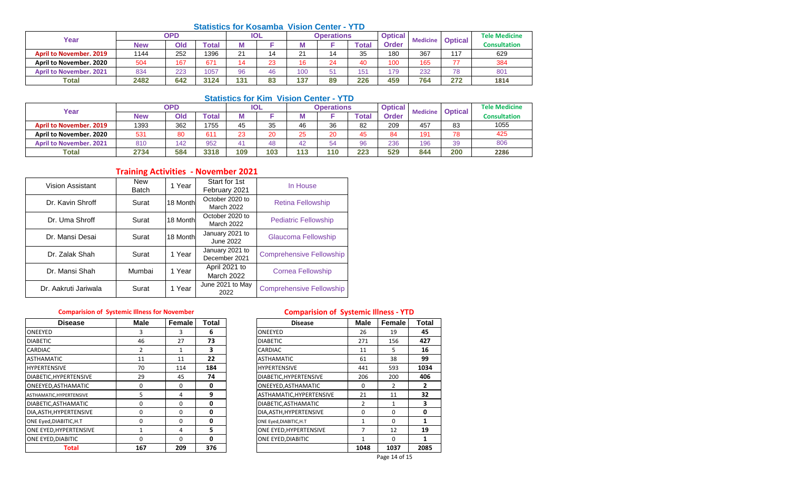# **Statistics for Kosamba Vision Center - YTD**

| Year                           | <b>OPD</b> |     |       | <b>IOL</b>    |    | <b>Operations</b> |    |             | <b>Optical</b> | <b>Medicine</b> | <b>Optical</b> | <b>Tele Medicine</b> |
|--------------------------------|------------|-----|-------|---------------|----|-------------------|----|-------------|----------------|-----------------|----------------|----------------------|
|                                | <b>New</b> | Old | Гоtal | w             |    |                   |    | <b>Tota</b> | Order          |                 |                | Consultation         |
| <b>April to November, 2019</b> | 1144       | 252 | 1396  | $\Omega$<br>∠ | 14 | 21                |    | 35          | 180            | 367             | 117            | 629                  |
| April to November, 2020        | 504        | 167 | 67'   | 14            | 23 | 16                | 24 | 40          | 100            | 165             | $\rightarrow$  | 384                  |
| <b>April to November, 2021</b> | 834        | 223 | 1057  | 96            | 46 | 100               | 51 | 151         | 179            | 232             | 78             | 80 <sup>4</sup>      |
| <b>Total</b>                   | 2482       | 642 | 3124  | 131           | 83 | 137               | 89 | 226         | 459            | 764             | 272            | 1814                 |

## **Statistics for Kim Vision Center - YTD**

| Year                           |            | <b>OPD</b> |              | <b>IOL</b> |     |     | <b>Operations</b> |              | <b>Optical</b> | <b>Medicine</b> | <b>Optical</b> | <b>Tele Medicine</b> |
|--------------------------------|------------|------------|--------------|------------|-----|-----|-------------------|--------------|----------------|-----------------|----------------|----------------------|
|                                | <b>New</b> | Old        | <b>Total</b> |            |     |     |                   | <b>Total</b> | Order          |                 |                | <b>Consultation</b>  |
| <b>April to November, 2019</b> | 1393       | 362        | 1755         | 45         | 35  | 46  | 36                | 82           | 209            | 457             | 83             | 1055                 |
| April to November. 2020        | 531        | 80         | 611          | 23         | 20  | つに  | 20                |              | 84             | 191             | 78             | 425                  |
| <b>April to November, 2021</b> | 810        | 42         | 952          |            | 48  | 42  | 54                | 96           | 236            | 196             | 39             | 806                  |
| Total                          | 2734       | 584        | 3318         | 109        | 103 | 113 | 110               | 223          | 529            | 844             | 200            | 2286                 |

# **Training Activities - November 2021**

| Vision Assistant     | <b>New</b><br><b>Batch</b> | 1 Year   | Start for 1st<br>February 2021     | In House                        |
|----------------------|----------------------------|----------|------------------------------------|---------------------------------|
| Dr. Kavin Shroff     | Surat                      | 18 Month | October 2020 to<br>March 2022      | <b>Retina Fellowship</b>        |
| Dr. Uma Shroff       | Surat                      | 18 Month | October 2020 to<br>March 2022      | <b>Pediatric Fellowship</b>     |
| Dr. Mansi Desai      | Surat                      | 18 Month | January 2021 to<br>June 2022       | Glaucoma Fellowship             |
| Dr. Zalak Shah       | Surat                      | 1 Year   | January 2021 to<br>December 2021   | <b>Comprehensive Fellowship</b> |
| Dr. Mansi Shah       | Mumbai                     | 1 Year   | April 2021 to<br><b>March 2022</b> | <b>Cornea Fellowship</b>        |
| Dr. Aakruti Jariwala | Surat                      | 1 Year   | June 2021 to May<br>2022           | <b>Comprehensive Fellowship</b> |

| <b>Disease</b>            | <b>Male</b> | Female   | Total | <b>Disease</b>           | Male | Female        | Tota |
|---------------------------|-------------|----------|-------|--------------------------|------|---------------|------|
| <b>ONEEYED</b>            |             | 3        | 6     | ONEEYED                  | 26   | 19            | 45   |
| <b>DIABETIC</b>           | 46          | 27       | 73    | <b>DIABETIC</b>          | 271  | 156           | 427  |
| <b>CARDIAC</b>            |             |          | 3     | <b>CARDIAC</b>           | 11   | 5.            | 16   |
| <b>ASTHAMATIC</b>         | 11          | 11       | 22    | <b>ASTHAMATIC</b>        | 61   | 38            | 99   |
| <b>HYPERTENSIVE</b>       | 70          | 114      | 184   | <b>HYPERTENSIVE</b>      | 441  | 593           | 1034 |
| DIABETIC, HYPERTENSIVE    | 29          | 45       | 74    | DIABETIC, HYPERTENSIVE   | 206  | 200           | 406  |
| ONEEYED, ASTHAMATIC       | 0           | $\Omega$ | 0     | ONEEYED, ASTHAMATIC      | 0    | $\mathcal{P}$ | 2    |
| ASTHAMATIC, HYPERTENSIVE  | 5           | 4        | 9     | ASTHAMATIC, HYPERTENSIVE | 21   | 11            | 32   |
| DIABETIC, ASTHAMATIC      | 0           | $\Omega$ | 0     | DIABETIC, ASTHAMATIC     | 2    | 1             | 3    |
| DIA, ASTH, HYPERTENSIVE   | 0           | $\Omega$ | 0     | DIA, ASTH, HYPERTENSIVE  | 0    | $\Omega$      | 0    |
| ONE Eyed, DIABITIC, H.T   | 0           | $\Omega$ | 0     | ONE Eyed, DIABITIC, H.T  |      | $\Omega$      |      |
| ONE EYED, HYPERTENSIVE    |             | 4        | 5     | ONE EYED, HYPERTENSIVE   |      | 12            | 19   |
| <b>ONE EYED, DIABITIC</b> | 0           | $\Omega$ | 0     | ONE EYED, DIABITIC       |      | $\Omega$      | 1    |
| <b>Total</b>              | 167         | 209      | 376   |                          | 1048 | 1037          | 2085 |

## **Comparision of Systemic Illness for November Comparision of Systemic Illness - YTD**

| <b>Disease</b>      | Male | Female   | Total | <b>Disease</b>           | Male           | Female        | Total |
|---------------------|------|----------|-------|--------------------------|----------------|---------------|-------|
|                     | 3    | 3        | 6     | ONEEYED                  | 26             | 19            | 45    |
|                     | 46   | 27       | 73    | <b>DIABETIC</b>          | 271            | 156           | 427   |
|                     | 2    |          | 3     | CARDIAC                  | 11             | 5.            | 16    |
| IC                  | 11   | 11       | 22    | <b>ASTHAMATIC</b>        | 61             | 38            | 99    |
| IVE                 | 70   | 114      | 184   | <b>HYPERTENSIVE</b>      | 441            | 593           | 1034  |
| YPERTENSIVE         | 29   | 45       | 74    | DIABETIC, HYPERTENSIVE   | 206            | 200           | 406   |
| STHAMATIC           | 0    | 0        | 0     | ONEEYED, ASTHAMATIC      | $\Omega$       | 2             |       |
| <b>IYPERTENSIVE</b> | 5    | 4        | 9     | ASTHAMATIC, HYPERTENSIVE | 21             | 11            | 32    |
| STHAMATIC           | 0    | $\Omega$ | 0     | DIABETIC, ASTHAMATIC     | 2              | 1             | 3     |
| YPERTENSIVE         | 0    | $\Omega$ | 0     | DIA, ASTH, HYPERTENSIVE  | 0              | 0             | 0     |
| ABITIC,H.T          | 0    | $\Omega$ | 0     | ONE Eyed, DIABITIC, H.T  | 1              | $\Omega$      |       |
| <b>IYPERTENSIVE</b> |      | 4        | 5     | ONE EYED, HYPERTENSIVE   | $\overline{7}$ | 12            | 19    |
| <b>IABITIC</b>      | 0    | $\Omega$ | 0     | ONE EYED, DIABITIC       | 1              | $\Omega$      |       |
| <b>Total</b>        | 167  | 209      | 376   |                          | 1048           | 1037          | 2085  |
|                     |      |          |       |                          |                | Page 14 of 15 |       |